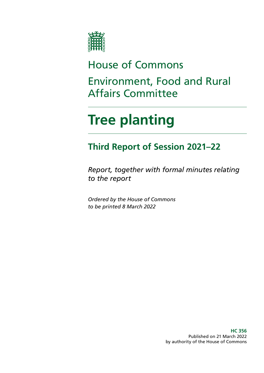

# House of Commons

Environment, Food and Rural Affairs Committee

# **Tree planting**

# **Third Report of Session 2021–22**

*Report, together with formal minutes relating to the report*

*Ordered by the House of Commons to be printed 8 March 2022*

> **HC 356** Published on 21 March 2022 by authority of the House of Commons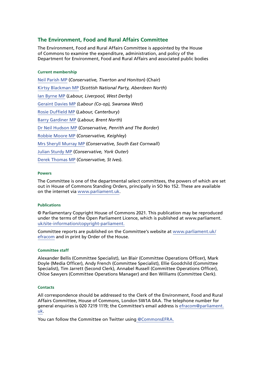#### **The Environment, Food and Rural Affairs Committee**

The Environment, Food and Rural Affairs Committee is appointed by the House of Commons to examine the expenditure, administration, and policy of the Department for Environment, Food and Rural Affairs and associated public bodies

#### **Current membership**

[Neil Parish MP](https://members.parliament.uk/member/4072/contact) (*Conservative, Tiverton and Honiton*) (Chair) [Kirtsy Blackman MP](https://members.parliament.uk/member/4357/contact) (*Scottish National Party, Aberdeen North*) [Ian Byrne MP](https://members.parliament.uk/member/4831/contact) (*Labour, Liverpool, West Derby*) [Geraint Davies MP](https://members.parliament.uk/member/155/contact) *(Labour (Co-op), Swansea West*) [Rosie Duffield MP](https://members.parliament.uk/member/4616/contact) (*Labour, Canterbury*) [Barry Gardiner MP](https://members.parliament.uk/member/146/contact) (*Labour, Brent North*) [Dr Neil Hudson MP](https://members.parliament.uk/member/4853/contact) (*Conservative, Penrith and The Border*) [Robbie Moore MP](https://members.parliament.uk/member/4861/contact) (*Conservative, Keighley*) [Mrs Sheryll Murray MP](https://members.parliament.uk/member/4100/contact) (*Conservative, South East Cornwall*) [Julian Sturdy MP](https://members.parliament.uk/member/4079/contact) (*Conservative, York Outer*) [Derek Thomas MP](https://members.parliament.uk/member/4532/contact) (*Conservative, St Ives*).

#### **Powers**

The Committee is one of the departmental select committees, the powers of which are set out in House of Commons Standing Orders, principally in SO No 152. These are available on the internet via [www.parliament.uk.](http://www.parliament.uk)

#### **Publications**

© Parliamentary Copyright House of Commons 2021. This publication may be reproduced under the terms of the Open Parliament Licence, which is published at www.parliament. [uk/site-information/copyright-parliament.](http://uk/site-information/copyright-parliament. )

Committee reports are published on the Committee's website at [www.parliament.uk/](http://www.parliament.uk/efracom) [efracom](http://www.parliament.uk/efracom) and in print by Order of the House.

#### **Committee staff**

Alexander Bellis (Committee Specialist), Ian Blair (Committee Operations Officer), Mark Doyle (Media Officer), Andy French (Committee Specialist), Ellie Goodchild (Committee Specialist), Tim Jarrett (Second Clerk), Annabel Russell (Committee Operations Officer), Chloe Sawyers (Committee Operations Manager) and Ben Williams (Committee Clerk).

#### **Contacts**

All correspondence should be addressed to the Clerk of the Environment, Food and Rural Affairs Committee, House of Commons, London SW1A 0AA. The telephone number for general enquiries is 020 7219 1119; the Committee's email address is [efracom@parliament.](mailto:efracom%40parliament.uk?subject=) [uk.](mailto:efracom%40parliament.uk?subject=)

You can follow the Committee on Twitter using [@CommonsEFRA.](http://twitter.com/CommonsEFRA)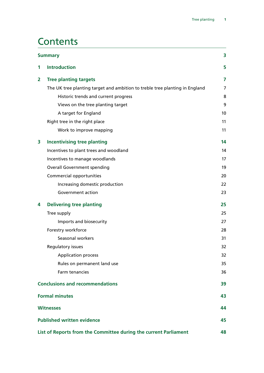## **Contents**

| 3<br><b>Summary</b>                                              |                                                                             |                |  |
|------------------------------------------------------------------|-----------------------------------------------------------------------------|----------------|--|
| 1                                                                | <b>Introduction</b>                                                         | 5              |  |
| 2                                                                | <b>Tree planting targets</b>                                                | 7              |  |
|                                                                  | The UK tree planting target and ambition to treble tree planting in England | $\overline{7}$ |  |
|                                                                  | Historic trends and current progress                                        | 8              |  |
|                                                                  | Views on the tree planting target                                           | 9              |  |
|                                                                  | A target for England                                                        | 10             |  |
|                                                                  | Right tree in the right place                                               | 11             |  |
|                                                                  | Work to improve mapping                                                     | 11             |  |
| 3                                                                | <b>Incentivising tree planting</b>                                          | 14             |  |
|                                                                  | Incentives to plant trees and woodland                                      | 14             |  |
|                                                                  | Incentives to manage woodlands                                              | 17             |  |
|                                                                  | <b>Overall Government spending</b>                                          | 19             |  |
|                                                                  | Commercial opportunities                                                    | 20             |  |
|                                                                  | Increasing domestic production                                              | 22             |  |
|                                                                  | Government action                                                           | 23             |  |
| 4                                                                | <b>Delivering tree planting</b>                                             | 25             |  |
|                                                                  | Tree supply                                                                 | 25             |  |
|                                                                  | Imports and biosecurity                                                     | 27             |  |
|                                                                  | Forestry workforce                                                          | 28             |  |
|                                                                  | Seasonal workers                                                            | 31             |  |
|                                                                  | Regulatory issues                                                           | 32             |  |
|                                                                  | <b>Application process</b>                                                  | 32             |  |
|                                                                  | Rules on permanent land use                                                 | 35             |  |
|                                                                  | Farm tenancies                                                              | 36             |  |
| <b>Conclusions and recommendations</b>                           |                                                                             |                |  |
| <b>Formal minutes</b>                                            |                                                                             |                |  |
| <b>Witnesses</b>                                                 |                                                                             |                |  |
| <b>Published written evidence</b>                                |                                                                             |                |  |
| List of Reports from the Committee during the current Parliament |                                                                             |                |  |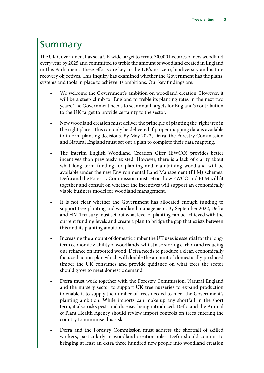## <span id="page-3-0"></span>Summary

The UK Government has set a UK wide target to create 30,000 hectares of new woodland every year by 2025 and committed to treble the amount of woodland created in England in this Parliament. These efforts are key to the UK's net zero, biodiversity and nature recovery objectives. This inquiry has examined whether the Government has the plans, systems and tools in place to achieve its ambitions. Our key findings are:

- We welcome the Government's ambition on woodland creation. However, it will be a steep climb for England to treble its planting rates in the next two years. The Government needs to set annual targets for England's contribution to the UK target to provide certainty to the sector.
- New woodland creation must deliver the principle of planting the 'right tree in the right place'. This can only be delivered if proper mapping data is available to inform planting decisions. By May 2022, Defra, the Forestry Commission and Natural England must set out a plan to complete their data mapping.
- The interim English Woodland Creation Offer (EWCO) provides better incentives than previously existed. However, there is a lack of clarity about what long term funding for planting and maintaining woodland will be available under the new Environmental Land Management (ELM) schemes. Defra and the Forestry Commission must set out how EWCO and ELM will fit together and consult on whether the incentives will support an economically viable business model for woodland management.
- It is not clear whether the Government has allocated enough funding to support tree-planting and woodland management. By September 2022, Defra and HM Treasury must set out what level of planting can be achieved with the current funding levels and create a plan to bridge the gap that exists between this and its planting ambition.
- Increasing the amount of domestic timber the UK uses is essential for the longterm economic viability of woodlands, whilst also storing carbon and reducing our reliance on imported wood. Defra needs to produce a clear, economically focussed action plan which will double the amount of domestically produced timber the UK consumes and provide guidance on what trees the sector should grow to meet domestic demand.
- Defra must work together with the Forestry Commission, Natural England and the nursery sector to support UK tree nurseries to expand production to enable it to supply the number of trees needed to meet the Government's planting ambition. While imports can make up any shortfall in the short term, it also risks pests and diseases being introduced. Defra and the Animal & Plant Health Agency should review import controls on trees entering the country to minimise this risk.
- Defra and the Forestry Commission must address the shortfall of skilled workers, particularly in woodland creation roles. Defra should commit to bringing at least an extra three hundred new people into woodland creation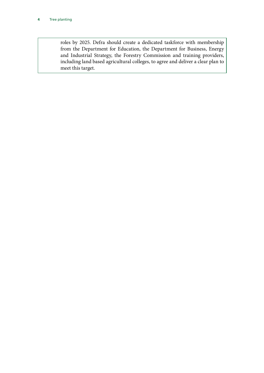roles by 2025. Defra should create a dedicated taskforce with membership from the Department for Education, the Department for Business, Energy and Industrial Strategy, the Forestry Commission and training providers, including land based agricultural colleges, to agree and deliver a clear plan to meet this target.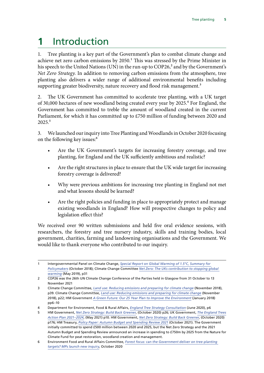# <span id="page-5-0"></span>**1** Introduction

1. Tree planting is a key part of the Government's plan to combat climate change and achieve net zero carbon emissions by  $2050<sup>1</sup>$  This was stressed by the Prime Minister in his speech to the United Nations (UN) in the run-up to COP26,<sup>2</sup> and by the Government's *Net Zero Strategy*. In addition to removing carbon emissions from the atmosphere, tree planting also delivers a wider range of additional environmental benefits including supporting greater biodiversity, nature recovery and flood risk management.<sup>3</sup>

2. The UK Government has committed to accelerate tree planting, with a UK target of 30,000 hectares of new woodland being created every year by 2025.4 For England, the Government has committed to treble the amount of woodland created in the current Parliament, for which it has committed up to £750 million of funding between 2020 and 2025<sup>5</sup>

3. We launched our inquiry into Tree Planting and Woodlands in October 2020 focusing on the following key issues:<sup>6</sup>

- Are the UK Government's targets for increasing forestry coverage, and tree planting, for England and the UK sufficiently ambitious and realistic?
- Are the right structures in place to ensure that the UK wide target for increasing forestry coverage is delivered?
- Why were previous ambitions for increasing tree planting in England not met and what lessons should be learned?
- Are the right policies and funding in place to appropriately protect and manage existing woodlands in England? How will prospective changes to policy and legislation effect this?

We received over 90 written submissions and held five oral evidence sessions, with researchers, the forestry and tree nursery industry, skills and training bodies, local government, charities, farming and landowning organisations and the Government. We would like to thank everyone who contributed to our inquiry.

<sup>1</sup> Intergovernmental Panel on Climate Change, *[Special Report on Global Warming of 1.5°C, Summary for](https://www.ipcc.ch/sr15/chapter/spm/)  [Policymakers](https://www.ipcc.ch/sr15/chapter/spm/)* (October 2018); Climate Change Committee *[Net Zero: The UKs contribution to stopping global](https://www.theccc.org.uk/wp-content/uploads/2019/05/Net-Zero-The-UKs-contribution-to-stopping-global-warming.pdf)  [warming](https://www.theccc.org.uk/wp-content/uploads/2019/05/Net-Zero-The-UKs-contribution-to-stopping-global-warming.pdf)* (May 2019), p31

<sup>2</sup> COP26 was the 26th UN Climate Change Conference of the Parties held in Glasgow from 31 October to 13 November 2021

<sup>3</sup> Climate Change Committee, *[Land use: Reducing emissions and preparing for climate change](https://www.theccc.org.uk/publication/land-use-reducing-emissions-and-preparing-for-climate-change/)* (November 2018), p39. Climate Change Committee, *[Land use: Reducing emissions and preparing for climate change](https://www.theccc.org.uk/publication/land-use-reducing-emissions-and-preparing-for-climate-change/)* (November 2018), p22; HM Government *[A Green Future: Our 25 Year Plan to Improve the Environment](https://assets.publishing.service.gov.uk/government/uploads/system/uploads/attachment_data/file/693158/25-year-environment-plan.pdf)* (January 2018) pp6–10

<sup>4</sup> Department for Environment, Food & Rural Affairs, *[England Tree Strategy Consultation](https://consult.defra.gov.uk/forestry/england-tree-strategy/supporting_documents/englandtreestrategyconsultationdocument%20%20correctedv1.pdf)* (June 2020), p6

<sup>5</sup> HM Government, *[Net Zero Strategy: Build Back Greener](https://www.gov.uk/government/publications/net-zero-strategy)*, (October 2020) p26; UK Government, *[The England Trees](https://assets.publishing.service.gov.uk/government/uploads/system/uploads/attachment_data/file/987061/england-trees-action-plan.pdf) [Action Plan 2021–2024](https://assets.publishing.service.gov.uk/government/uploads/system/uploads/attachment_data/file/987061/england-trees-action-plan.pdf)*, (May 2021) p10. HM Government, *[Net Zero Strategy: Build Back Greener](https://www.gov.uk/government/publications/net-zero-strategy)*, (October 2020) p176; HM Treasury, *[Policy Paper: Autumn Budget and Spending Review 2021](https://www.gov.uk/government/publications/autumn-budget-and-spending-review-2021-documents/autumn-budget-and-spending-review-2021-html)* (October 2021). The Government initially committed to spend £500 million between 2020 and 2025, but the Net Zero Strategy and the 2021 Autumn Budget and Spending Review announced an increase in spending to £750m by 2025 from the Nature for Climate Fund for peat restoration, woodland creation and management.

<sup>6</sup> Environment Food and Rural Affairs Committee, *[Forest focus: can the Government deliver on tree-planting](https://committees.parliament.uk/committee/52/environment-food-and-rural-affairs-committee/news/119658/forest-focus-can-the-government-deliver-on-treeplanting-targets-mps-launch-new-inquiry/)  [targets? MPs launch new inquiry](https://committees.parliament.uk/committee/52/environment-food-and-rural-affairs-committee/news/119658/forest-focus-can-the-government-deliver-on-treeplanting-targets-mps-launch-new-inquiry/)*, October 2020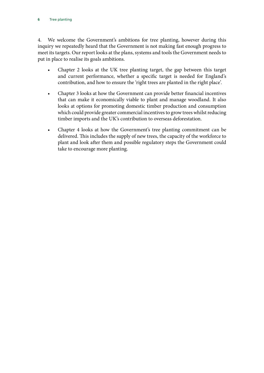4. We welcome the Government's ambitions for tree planting, however during this inquiry we repeatedly heard that the Government is not making fast enough progress to meet its targets. Our report looks at the plans, systems and tools the Government needs to put in place to realise its goals ambitions.

- Chapter 2 looks at the UK tree planting target, the gap between this target and current performance, whether a specific target is needed for England's contribution, and how to ensure the 'right trees are planted in the right place'.
- Chapter 3 looks at how the Government can provide better financial incentives that can make it economically viable to plant and manage woodland. It also looks at options for promoting domestic timber production and consumption which could provide greater commercial incentives to grow trees whilst reducing timber imports and the UK's contribution to overseas deforestation.
- Chapter 4 looks at how the Government's tree planting commitment can be delivered. This includes the supply of new trees, the capacity of the workforce to plant and look after them and possible regulatory steps the Government could take to encourage more planting.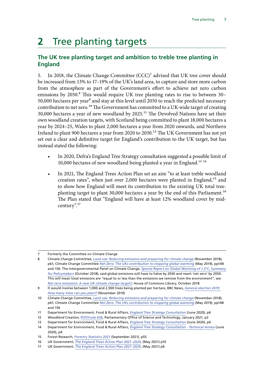# <span id="page-7-0"></span>**2** Tree planting targets

## **The UK tree planting target and ambition to treble tree planting in England**

5. In 2018, the Climate Change Committee (CCC)<sup>7</sup> advised that UK tree cover should be increased from 13% to 17–19% of the UK's land area, to capture and store more carbon from the atmosphere as part of the Government's effort to achieve net zero carbon emissions by 2050.<sup>8</sup> This would require UK tree planting rates to rise to between 30– 50,000 hectares per year<sup>9</sup> and stay at this level until 2050 to reach the predicted necessary contribution to net zero.<sup>10</sup> The Government has committed to a UK-wide target of creating  $30,000$  hectares a year of new woodland by 2025.<sup>11</sup> The Devolved Nations have set their own woodland creation targets, with Scotland being committed to plant 18,000 hectares a year by 2024–25, Wales to plant 2,000 hectares a year from 2020 onwards, and Northern Ireland to plant 900 hectares a year from 2020 to 2030.<sup>12</sup> The UK Government has not yet set out a clear and definitive target for England's contribution to the UK target, but has instead stated the following:

- In 2020, Defra's England Tree Strategy consultation suggested a possible limit of 10,000 hectares of new woodland being planted a year in England.<sup>13 14</sup>
- In 2021, The England Trees Action Plan set an aim "to at least treble woodland creation rates", when just over 2,000 hectares were planted in England,<sup>15</sup> and to show how England will meet its contribution to the existing UK total treeplanting target to plant 30,000 hectares a year by the end of this Parliament.16 The Plan stated that "England will have at least 12% woodland cover by midcentury".17

<sup>7</sup> Formerly the Committee on Climate Change

<sup>8</sup> Climate Change Committee, *[Land use: Reducing emissions and preparing for climate change](https://www.theccc.org.uk/publication/land-use-reducing-emissions-and-preparing-for-climate-change/)* (November 2018), p61; Climate Change Committee *[Net Zero: The UKs contribution to stopping global warming](https://www.theccc.org.uk/wp-content/uploads/2019/05/Net-Zero-The-UKs-contribution-to-stopping-global-warming.pdf)* (May 2019), pp148 and 156. The Intergovernmental Panel on Climate Change, *[Special Report on Global Warming of 1.5°C, Summary](https://www.ipcc.ch/sr15/chapter/spm/)  [for Policymakers](https://www.ipcc.ch/sr15/chapter/spm/)* (October 2018), said global emissions will have to halve by 2030 and reach 'net zero' by 2050. This will mean total emissions are "equal to or less than the emissions we remove from the environment", see *[Net zero emissions: A new UK climate change target?](https://commonslibrary.parliament.uk/net-zero-emissions-a-new-uk-climate-change-target/)*, House of Commons Library, October 2018

<sup>9</sup> It would involve between 1,000 and 2,500 trees being planted per hectare, BBC News, *[General election 2019:](https://www.bbc.co.uk/news/50591261)  [How many trees can you plant?](https://www.bbc.co.uk/news/50591261)* (November 2019)

<sup>10</sup> Climate Change Committee, *[Land use: Reducing emissions and preparing for climate change](https://www.theccc.org.uk/publication/land-use-reducing-emissions-and-preparing-for-climate-change/)* (November 2018), p61; Climate Change Committee *[Net Zero: The UKs contribution to stopping global warming](https://www.theccc.org.uk/wp-content/uploads/2019/05/Net-Zero-The-UKs-contribution-to-stopping-global-warming.pdf)* (May 2019), pp148 and 156

<sup>11</sup> Department for Environment, Food & Rural Affairs, *[England Tree Strategy Consultation](https://consult.defra.gov.uk/forestry/england-tree-strategy/supporting_documents/englandtreestrategyconsultationdocument%20%20correctedv1.pdf)* (June 2020), p6

<sup>12</sup> *Woodland Creation*, [POSTnote 636,](https://researchbriefings.files.parliament.uk/documents/POST-PN-0636/POST-PN-0636.pdf) Parliamentary Office of Science and Technology, January 2021, p2

<sup>13</sup> Department for Environment, Food & Rural Affairs, *[England Tree Strategy Consultation](https://consult.defra.gov.uk/forestry/england-tree-strategy/supporting_documents/englandtreestrategyconsultationdocument%20%20correctedv1.pdf)* (June 2020), p6

<sup>14</sup> Department for Environment, Food & Rural Affairs, *[England Tree Strategy Consultation - Technical Annex](https://consult.defra.gov.uk/forestry/england-tree-strategy/supporting_documents/englandtreestrategyconsultationtechnicalannex%20%20corrected.pdf)* (June 2020), p4

<sup>15</sup> Forest Research, *[Forestry Statistics 2021](https://www.forestresearch.gov.uk/documents/8205/Complete_FS2021_JvYjBWA.pdf)* (September 2021), p55

<sup>16</sup> UK Government, *[The England Trees Action Plan 2021–2024](https://assets.publishing.service.gov.uk/government/uploads/system/uploads/attachment_data/file/987061/england-trees-action-plan.pdf)*, (May 2021) p10

<sup>17</sup> UK Government, *[The England Trees Action Plan 2021–2024](https://assets.publishing.service.gov.uk/government/uploads/system/uploads/attachment_data/file/987061/england-trees-action-plan.pdf)*, (May 2021) p6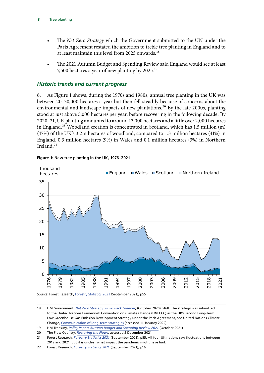- <span id="page-8-0"></span>• The *Net Zero Strategy* which the Government submitted to the UN under the Paris Agreement restated the ambition to treble tree planting in England and to at least maintain this level from 2025 onwards.<sup>18</sup>
- The 2021 Autumn Budget and Spending Review said England would see at least 7,500 hectares a year of new planting by 2025.19

#### *Historic trends and current progress*

6. As Figure 1 shows, during the 1970s and 1980s, annual tree planting in the UK was between 20–30,000 hectares a year but then fell steadily because of concerns about the environmental and landscape impacts of new plantations.<sup>20</sup> By the late 2000s, planting stood at just above 5,000 hectares per year, before recovering in the following decade. By 2020–21, UK planting amounted to around 13,000 hectares and a little over 2,000 hectares in England.<sup>21</sup> Woodland creation is concentrated in Scotland, which has 1.5 million (m)  $(47%)$  of the UK's 3.2m hectares of woodland, compared to 1.3 million hectares  $(41%)$  in England, 0.3 million hectares (9%) in Wales and 0.1 million hectares (3%) in Northern Ireland.<sup>22</sup>



**Figure 1: New tree planting in the UK, 1976–2021** Figure 1.6 New planting in the UK, 1976-2021

Source: Forest Research, [Forestry Statistics 2021](https://www.forestresearch.gov.uk/documents/8205/Complete_FS2021_JvYjBWA.pdf) (September 2021), p55

<sup>18</sup> HM Government, *[Net Zero Strategy: Build Back Greener](https://www.gov.uk/government/publications/net-zero-strategy)*, (October 2020) p168. The strategy was submitted to the United Nations Framework Convention on Climate Change (UNFCCC) as the UK's second Long-Term Low Greenhouse Gas Emission Development Strategy under the Paris Agreement, see United Nations Climate Change, [Communication of long-term strategies](https://unfccc.int/process/the-paris-agreement/long-term-strategies) (accessed 11 January 2022)

<sup>19</sup> HM Treasury, Policy Paper: Autumn Budget and Spending Review 2021 (October 2021)

<sup>20</sup> The Flow Country, *[Restoring the Flows](https://www.theflowcountry.org.uk/flow-facts/flow-fact-4/)*, accessed 2 December 2021

<sup>21</sup> Forest Research, *[Forestry Statistics 2021](https://www.forestresearch.gov.uk/documents/8205/Complete_FS2021_JvYjBWA.pdf)* (September 2021), p55. All four UK nations saw fluctuations between 2019 and 2021; but it is unclear what impact the pandemic might have had.

<sup>22</sup> Forest Research, *Forestry Statistics 2021* (September 2021), p16.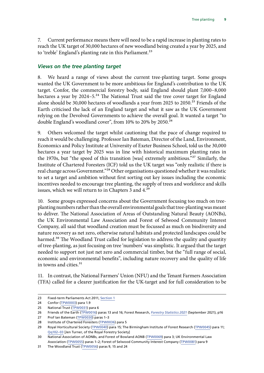<span id="page-9-0"></span>7. Current performance means there will need to be a rapid increase in planting rates to reach the UK target of 30,000 hectares of new woodland being created a year by 2025, and to 'treble' England's planting rate in this Parliament.<sup>23</sup>

#### *Views on the tree planting target*

8. We heard a range of views about the current tree-planting target. Some groups wanted the UK Government to be more ambitious for England's contribution to the UK target. Confor, the commercial forestry body, said England should plant 7,000–8,000 hectares a year by  $2024-5.^{24}$  The National Trust said the tree cover target for England alone should be 30,000 hectares of woodlands a year from 2025 to 2050.<sup>25</sup> Friends of the Earth criticised the lack of an England target and what it saw as the UK Government relying on the Devolved Governments to achieve the overall goal. It wanted a target "to double England's woodland cover", from 10% to 20% by 2050.<sup>26</sup>

9. Others welcomed the target whilst cautioning that the pace of change required to reach it would be challenging. Professor Ian Bateman, Director of the Land, Environment, Economics and Policy Institute at University of Exeter Business School, told us the 30,000 hectares a year target by 2025 was in line with historical maximum planting rates in the 1970s, but "the speed of this transition [was] extremely ambitious."27 Similarly, the Institute of Chartered Foresters (ICF) told us the UK target was "only realistic if there is real change across Government."28 Other organisations questioned whether it was realistic to set a target and ambition without first sorting out key issues including the economic incentives needed to encourage tree planting, the supply of trees and workforce and skills issues, which we will return to in Chapters 3 and 4.<sup>29</sup>

10. Some groups expressed concerns about the Government focusing too much on treeplanting numbers rather than the overall environmental goals that tree-planting was meant to deliver. The National Association of Areas of Outstanding Natural Beauty (AONBs), the UK Environmental Law Association and Forest of Selwood Community Interest Company, all said that woodland creation must be focussed as much on biodiversity and nature recovery as net zero, otherwise natural habitats and protected landscapes could be harmed.<sup>30</sup> The Woodland Trust called for legislation to address the quality and quantity of tree-planting, as just focusing on tree 'numbers' was simplistic. It argued that the target needed to support not just net zero and commercial timber, but the "full range of social, economic and environmental benefits", including nature recovery and the quality of life in towns and cities.31

11. In contrast, the National Farmers' Union (NFU) and the Tenant Farmers Association (TFA) called for a clearer justification for the UK-target and for full consideration to be

<sup>23</sup> Fixed-term Parliaments Act 2011, [Section 1](https://www.legislation.gov.uk/ukpga/2011/14/contents/enacted)

<sup>24</sup> Confor ([TPW0003](https://committees.parliament.uk/writtenevidence/12906/pdf/)) para 1.9

<sup>25</sup> National Trust ([TPW0031](https://committees.parliament.uk/writtenevidence/15666/pdf/)) para 6

<sup>26</sup> Friends of the Earth ([TPW0016\)](https://committees.parliament.uk/writtenevidence/14885/pdf/) paras 13 and 16; Forest Research, *[Forestry Statistics 2021](https://www.forestresearch.gov.uk/documents/8205/Complete_FS2021_JvYjBWA.pdf)* (September 2021), p16

<sup>27</sup> Prof Ian Bateman ([TPW0030](https://committees.parliament.uk/writtenevidence/15632/pdf/)) paras 1–3

<sup>28</sup> Institute of Chartered Foresters ([TPW0036\)](https://committees.parliament.uk/writtenevidence/16089/pdf/) para 5

<sup>29</sup> Royal Horticultural Society ([TPW0040\)](https://committees.parliament.uk/writtenevidence/16122/html/) para 15; The Birmingham Institute of Forest Research ([TPW0045](https://committees.parliament.uk/writtenevidence/17647/pdf/)) para 11; [Qq102–03](https://committees.parliament.uk/oralevidence/2366/html/) [Jen Turner, of the Royal Forestry Society]

<sup>30</sup> National Association of AONBs, and Forest of Bowland AONB [\(TPW0069](https://committees.parliament.uk/writtenevidence/18686/pdf/)) para 3; UK Environmental Law Association ([TPW0055](https://committees.parliament.uk/writtenevidence/18458/pdf/)) paras 1–2; Forest of Selwood Community Interest Company ([TPW0081](https://committees.parliament.uk/writtenevidence/19032/pdf/)) para 9

<sup>31</sup> The Woodland Trust ([TPW0056\)](https://committees.parliament.uk/writtenevidence/18470/pdf/) paras 9, 15 and 24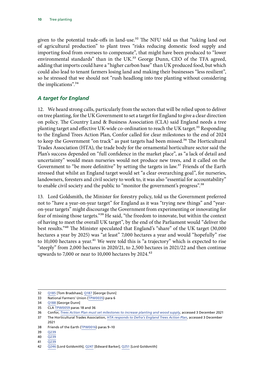<span id="page-10-0"></span>given to the potential trade-offs in land-use.<sup>32</sup> The NFU told us that "taking land out of agricultural production" to plant trees "risks reducing domestic food supply and importing food from oversees to compensate", that might have been produced to "lower environmental standards" than in the UK.<sup>33</sup> George Dunn, CEO of the TFA agreed, adding that imports could have a "higher carbon base" than UK produced food, but which could also lead to tenant farmers losing land and making their businesses "less resilient", so he stressed that we should not "rush headlong into tree planting without considering the implications".<sup>34</sup>

### *A target for England*

12. We heard strong calls, particularly from the sectors that will be relied upon to deliver on tree planting, for the UK Government to set a target for England to give a clear direction on policy. The Country Land & Business Association (CLA) said England needs a tree planting target and effective UK-wide co-ordination to reach the UK target.<sup>35</sup> Responding to the England Trees Action Plan, Confor called for clear milestones to the end of 2024 to keep the Government "on track" as past targets had been missed.<sup>36</sup> The Horticultural Trades Association (HTA), the trade body for the ornamental horticulture sector said the Plan's success depended on "full confidence in the market place", as "a lack of detail and uncertainty" would mean nurseries would not produce new trees, and it called on the Government to "be more definitive" by setting the targets in law.<sup>37</sup> Friends of the Earth stressed that whilst an England target would set "a clear overarching goal", for nurseries, landowners, foresters and civil society to work to, it was also "essential for accountability" to enable civil society and the public to "monitor the government's progress".<sup>38</sup>

13. Lord Goldsmith, the Minister for forestry policy, told us the Government preferred not to "have a year-on-year target" for England as it was "trying new things" and "yearon-year targets" might discourage the Government from experimenting or innovating for fear of missing those targets."39 He said, "the freedom to innovate, but within the context of having to meet the overall UK target", by the end of the Parliament would "deliver the best results."40 The Minister speculated that England's "share" of the UK target (30,000 hectares a year by 2025) was "at least" 7,000 hectares a year and would "hopefully" rise to 10,000 hectares a year.<sup>41</sup> We were told this is "a trajectory" which is expected to rise "steeply" from 2,000 hectares in 2020/21, to 2,500 hectares in 2021/22 and then continue upwards to 7,000 or near to 10,000 hectares by  $2024$ .<sup>42</sup>

<sup>32</sup> [Q185](https://committees.parliament.uk/oralevidence/2719/html) [Tom Bradshaw]; [Q187](https://committees.parliament.uk/oralevidence/2719/html/) [George Dunn]

<sup>33</sup> National Farmers' Union [\(TPW0035](https://committees.parliament.uk/writtenevidence/16081/pdf/)) para 6

<sup>34</sup> [Q188](https://committees.parliament.uk/oralevidence/2719/html) [George Dunn]

<sup>35</sup> CLA [TPW0059](https://committees.parliament.uk/writtenevidence/18544/pdf/) paras 18 and 36

<sup>36</sup> Confor, *[Trees Action Plan must set milestones to increase planting and wood supply](https://www.confor.org.uk/news/latest-news/tree-action-plan-must-set-milestones-to-increase-planting-and-wood-supply/)*, accessed 3 December 2021

<sup>37</sup> The Horticultural Trades Association, *[HTA responds to Defra's England Trees Action Plan](https://hta.org.uk/news-current-issues/news-current/news/defras-trees-action-plan.html)*, accessed 3 December 2021

<sup>38</sup> Friends of the Earth ([TPW0016\)](https://committees.parliament.uk/writtenevidence/14885/pdf/) paras 9–10

<sup>39</sup> [Q239](https://committees.parliament.uk/oralevidence/3074/html/)

<sup>40</sup> [Q239](https://committees.parliament.uk/oralevidence/3074/html/)

<sup>41</sup> [Q239](https://committees.parliament.uk/oralevidence/3074/html/)

<sup>42</sup> [Q246](https://committees.parliament.uk/oralevidence/3074/html/) [Lord Goldsmith]; [Q247](https://committees.parliament.uk/oralevidence/3074/html/) [Edward Barker]; [Q251](https://committees.parliament.uk/oralevidence/3074/html/) [Lord Goldsmith]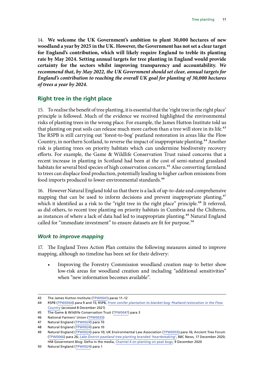<span id="page-11-0"></span>14. **We welcome the UK Government's ambition to plant 30,000 hectares of new woodland a year by 2025 in the UK. However, the Government has not set a clear target for England's contribution, which will likely require England to treble its planting rate by May 2024. Setting annual targets for tree planting in England would provide certainty for the sectors whilst improving transparency and accountability.** *We recommend that, by May 2022, the UK Government should set clear, annual targets for England's contribution to reaching the overall UK goal for planting of 30,000 hectares of trees a year by 2024.*

## **Right tree in the right place**

15. To realise the benefit of tree planting, it is essential that the 'right tree in the right place' principle is followed. Much of the evidence we received highlighted the environmental risks of planting trees in the wrong place. For example, the James Hutton Institute told us that planting on peat soils can release much more carbon than a tree will store in its life.<sup>43</sup> The RSPB is still carrying out 'forest-to-bog' peatland restoration in areas like the Flow Country, in northern Scotland, to reverse the impact of inappropriate planting.<sup>44</sup> Another risk is planting trees on priority habitats which can undermine biodiversity recovery efforts. For example, the Game & Wildlife Conservation Trust raised concerns that a recent increase in planting in Scotland had been at the cost of semi-natural grassland habitats for several bird species of high conservation concern.<sup>45</sup> Also converting farmland to trees can displace food production, potentially leading to higher carbon emissions from food imports produced to lower environmental standards.<sup>46</sup>

16. However Natural England told us that there is a lack of up-to-date and comprehensive mapping that can be used to inform decisions and prevent inappropriate planting,<sup>47</sup> which it identified as a risk to the "right tree in the right place" principle.<sup>48</sup> It referred, as did others, to recent tree planting on priority habitats in Cumbria and the Chilterns, as instances of where a lack of data had led to inappropriate planting.<sup>49</sup> Natural England called for "immediate investment" to ensure datasets are fit for purpose.<sup>50</sup>

#### *Work to improve mapping*

17. The England Trees Action Plan contains the following measures aimed to improve mapping, although no timeline has been set for their delivery:

• Improving the Forestry Commission woodland creation map to better show low-risk areas for woodland creation and including "additional sensitivities" when "new information becomes available".

<sup>43</sup> The James Hutton Institute ([TPW0041\)](https://committees.parliament.uk/writtenevidence/16125/pdf/) paras 11–12

<sup>44</sup> RSPB ([TPW0064](https://committees.parliament.uk/writtenevidence/18581/pdf/)) para 9 and 15; RSPB, *[From conifer plantation to blanket bog: Peatland restoration in the Flow](https://www.rspb.org.uk/our-work/conservation/projects/from-conifer-plantation-to-blanket-bog-peatland-restoration-in-the-flow-country/)  [Country](https://www.rspb.org.uk/our-work/conservation/projects/from-conifer-plantation-to-blanket-bog-peatland-restoration-in-the-flow-country/)* (accessed 8 December 2021)

<sup>45</sup> The Game & Wildlife Conservation Trust [\(TPW0047](https://committees.parliament.uk/writtenevidence/18324/pdf/)) para 3

<sup>46</sup> National Farmers' Union [\(TPW0035](https://committees.parliament.uk/writtenevidence/16081/pdf/))

<sup>47</sup> Natural England ([TPW0024](https://committees.parliament.uk/writtenevidence/15475/pdf/)) para 10

<sup>48</sup> Natural England ([TPW0024](https://committees.parliament.uk/writtenevidence/15475/pdf/)) para 10

<sup>49</sup> Natural England ([TPW0024](https://committees.parliament.uk/writtenevidence/15475/pdf/)) para 10; UK Environmental Law Association ([TPW0055\)](https://committees.parliament.uk/writtenevidence/18458/pdf/) para 16; Ancient Tree Forum ([TPW0066\)](https://committees.parliament.uk/writtenevidence/18680/pdf/) para 26; *[Lake District peatland tree planting branded 'heartbreaking'](https://www.bbc.co.uk/news/uk-england-cumbria-54971229)*, BBC News, 17 December 2020; HM Government Blog: Defra in the media, [Channel 4 on planting on peat bogs](https://deframedia.blog.gov.uk/2020/12/09/channel-4-on-planting-on-peat-bogs/), 9 December 2020

<sup>50</sup> Natural England ([TPW0024](https://committees.parliament.uk/writtenevidence/15475/pdf/)) para 1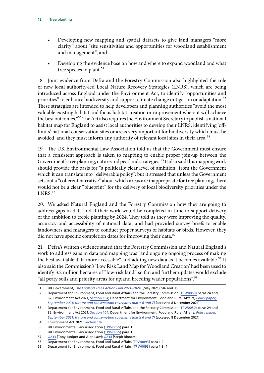- Developing new mapping and spatial datasets to give land managers "more clarity" about "site sensitivities and opportunities for woodland establishment and management", and
- Developing the evidence base on how and where to expand woodland and what tree species to plant.<sup>51</sup>

18. Joint evidence from Defra and the Forestry Commission also highlighted the role of new local authority-led Local Nature Recovery Strategies (LNRS), which are being introduced across England under the Environment Act, to identify "opportunities and priorities" to enhance biodiversity and support climate change mitigation or adaptation.<sup>52</sup> These strategies are intended to help developers and planning authorities "avoid the most valuable existing habitat and focus habitat creation or improvement where it will achieve the best outcomes."53 The Act also requires the Environment Secretary to publish a national habitat map for England to assist local authorities to develop their LNRS, identifying 'offlimits' national conservation sites or areas very important for biodiversity which must be avoided, and they must inform any authority of relevant local sites in their area.<sup>54</sup>

19. The UK Environmental Law Association told us that the Government must ensure that a consistent approach is taken to mapping to enable proper join-up between the Government's tree planting, nature and peatland strategies.<sup>55</sup> It also said this mapping work should provide the basis for "a politically clear level of ambition" from the Government which it can translate into "deliverable policy"; but it stressed that unless the Government sets out a "coherent narrative" about which areas are inappropriate for tree planting, there would not be a clear "blueprint" for the delivery of local biodiversity priorities under the LNRS.<sup>56</sup>

20. We asked Natural England and the Forestry Commission how they are going to address gaps in data and if their work would be completed in time to support delivery of the ambition to treble planting by 2024. They told us they were improving the quality, accuracy and accessibility of national data, and had provided survey briefs to enable landowners and managers to conduct proper surveys of habitats or birds. However, they did not have specific completion dates for improving their data.<sup>57</sup>

21. Defra's written evidence stated that the Forestry Commission and Natural England's work to address gaps in data and mapping was "and ongoing ongoing process of making the best available data more accessible" and adding new data as it becomes available.<sup>58</sup> It also said the Commission's 'Low Risk Land Map for Woodland Creation' had been used to identify 3.2 million hectares of "low-risk land" so far, and further updates would exclude "all peaty soils and priority areas for upland breeding wader populations".59

<sup>51</sup> UK Government, *[The England Trees Action Plan 2021–2024](https://assets.publishing.service.gov.uk/government/uploads/system/uploads/attachment_data/file/987061/england-trees-action-plan.pdf)*, (May 2021) p16 and 35

<sup>52</sup> Department for Environment, Food and Rural Affairs and the Forestry Commission ([TPW0050\)](https://committees.parliament.uk/writtenevidence/18397/pdf/) paras 24 and 82; Environment Act 2021, [Section 104;](https://www.legislation.gov.uk/ukpga/2021/30/contents/enacted) Department for Environment, Food and Rural Affairs, *[Policy paper,](https://www.gov.uk/government/publications/environment-bill-2020/10-march-2020-nature-and-conservation-covenants-parts-6-and-7)  [September 2021: Nature and conservation covenants \(parts 6 and 7\)](https://www.gov.uk/government/publications/environment-bill-2020/10-march-2020-nature-and-conservation-covenants-parts-6-and-7)* (accessed 8 December 2021)

<sup>53</sup> Department for Environment, Food and Rural Affairs and the Forestry Commission ([TPW0050\)](https://committees.parliament.uk/writtenevidence/18397/pdf/) paras 24 and 82; Environment Act 2021, [Section 104;](https://www.legislation.gov.uk/ukpga/2021/30/contents/enacted) Department for Environment, Food and Rural Affairs, *[Policy paper,](https://www.gov.uk/government/publications/environment-bill-2020/10-march-2020-nature-and-conservation-covenants-parts-6-and-7)  [September 2021: Nature and conservation covenants \(parts 6 and 7\)](https://www.gov.uk/government/publications/environment-bill-2020/10-march-2020-nature-and-conservation-covenants-parts-6-and-7)* (accessed 8 December 2021)

<sup>54</sup> Environment Act 2021, [Section 107](https://www.legislation.gov.uk/ukpga/2021/30/part/6/crossheading/local-nature-recovery-strategies/enacted)

<sup>55</sup> UK Environmental Law Association ([TPW0055\)](https://committees.parliament.uk/writtenevidence/18458/pdf/) para 3

<sup>56</sup> UK Environmental Law Association ([TPW0055\)](https://committees.parliament.uk/writtenevidence/18458/pdf/) para 3

<sup>57</sup> [Q233](https://committees.parliament.uk/oralevidence/2719/html/) [Tony Juniper and Alan Law]; [Q234](https://committees.parliament.uk/oralevidence/2719/html/) [Steph Rhodes]

<sup>58</sup> Department for Environment, Food and Rural Affairs [[TPW0093](https://committees.parliament.uk/writtenevidence/41426/default/)] para 1.2

<sup>59</sup> Department for Environment, Food and Rural Affairs [[TPW0093](https://committees.parliament.uk/writtenevidence/41426/default/)] para 1.3–4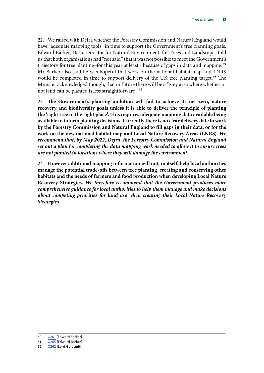22. We raised with Defra whether the Forestry Commission and Natural England would have "adequate mapping tools" in time to support the Government's tree planning goals. Edward Barker, Defra Director for Natural Environment, for Trees and Landscapes told us that both organisations had "not said" that it was not possible to meet the Government's trajectory for tree planting–for this year at least - because of gaps in data and mapping.<sup>60</sup> Mr Barker also said he was hopeful that work on the national habitat map and LNRS would be completed in time to support delivery of the UK tree planting target.<sup>61</sup> The Minister acknowledged though, that in future there will be a "grey area where whether or not land can be planted is less straightforward."62

23. **The Government's planting ambition will fail to achieve its net zero, nature recovery and biodiversity goals unless it is able to deliver the principle of planting the 'right tree in the right place'. This requires adequate mapping data available being available to inform planting decisions. Currently there is no clear delivery date to work by the Forestry Commission and Natural England to fill gaps in their data, or for the work on the new national habitat map and Local Nature Recovery Areas (LNRS).** *We recommend that, by May 2022, Defra, the Forestry Commission and Natural England set out a plan for completing the data mapping work needed to allow it to ensure trees are not planted in locations where they will damage the environment.*

24. **However additional mapping information will not, in itself, help local authorities manage the potential trade-offs between tree planting, creating and conserving other habitats and the needs of farmers and food production when developing Local Nature Recovery Strategies.** *We therefore recommend that the Government produces more comprehensive guidance for local authorities to help them manage and make decisions about competing priorities for land use when creating their Local Nature Recovery Strategies.*

<sup>60</sup> [Q261](https://committees.parliament.uk/oralevidence/3074/html/) [Edward Barker]

<sup>61</sup> [Q265](https://committees.parliament.uk/oralevidence/3074/html/) [Edward Barker]

<sup>62</sup> [Q262](https://committees.parliament.uk/oralevidence/3074/html/) [Lord Goldsmith]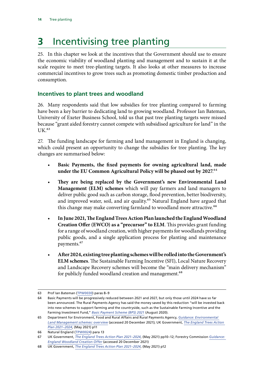# <span id="page-14-0"></span>**3** Incentivising tree planting

25. In this chapter we look at the incentives that the Government should use to ensure the economic viability of woodland planting and management and to sustain it at the scale require to meet tree-planting targets. It also looks at other measures to increase commercial incentives to grow trees such as promoting domestic timber production and consumption.

## **Incentives to plant trees and woodland**

26. Many respondents said that low subsidies for tree planting compared to farming have been a key barrier to dedicating land to growing woodland. Professor Ian Bateman, University of Exeter Business School, told us that past tree planting targets were missed because "grant aided forestry cannot compete with subsidised agriculture for land" in the UK.<sup>63</sup>

27. The funding landscape for farming and land management in England is changing, which could present an opportunity to change the subsidies for tree planting. The key changes are summarised below:

- **Basic Payments, the fixed payments for owning agricultural land, made under the EU Common Agricultural Policy will be phased out by 2027**.64
- **They are being replaced by the Government's new Environmental Land Management (ELM) schemes** which will pay farmers and land managers to deliver public good such as carbon storage, flood prevention, better biodiversity, and improved water, soil, and air quality.<sup>65</sup> Natural England have argued that this change may make converting farmland to woodland more attractive.<sup>66</sup>
- **In June 2021, The England Trees Action Plan launched the England Woodland Creation Offer (EWCO) as a "precursor" to ELM**. This provides grant funding for a range of woodland creation, with higher payments for woodlands providing public goods, and a single application process for planting and maintenance payments.<sup>67</sup>
- **After 2024, existing tree planting schemes will be rolled into the Government's ELM schemes**. The Sustainable Farming Incentive (SFI), Local Nature Recovery and Landscape Recovery schemes will become the "main delivery mechanism" for publicly funded woodland creation and management.<sup>68</sup>

<sup>63</sup> Prof Ian Bateman ([TPW0030](https://committees.parliament.uk/writtenevidence/15632/pdf/)) paras 8–9

<sup>64</sup> Basic Payments will be progressively reduced between 2021 and 2027, but only those until 2024 have so far been announced. The Rural Payments Agency has said the money saved by this reduction "will be invested back into new schemes to support farming and the countryside, such as the Sustainable Farming Incentive and the Farming Investment Fund," *[Basic Payment Scheme \(BPS\) 2021](https://www.gov.uk/government/collections/bps-2021)* (August 2020).

<sup>65</sup> Department for Environment, Food and Rural Affairs and Rural Payments Agency, *[Guidance: Environmental](https://www.gov.uk/government/publications/environmental-land-management-schemes-overview/environmental-land-management-scheme-overview)  [Land Management schemes: overview](https://www.gov.uk/government/publications/environmental-land-management-schemes-overview/environmental-land-management-scheme-overview)* (accessed 20 December 2021); UK Government, *[The England Trees Action](https://assets.publishing.service.gov.uk/government/uploads/system/uploads/attachment_data/file/987061/england-trees-action-plan.pdf)  [Plan 2021–2024](https://assets.publishing.service.gov.uk/government/uploads/system/uploads/attachment_data/file/987061/england-trees-action-plan.pdf)*, (May 2021) p11

<sup>66</sup> Natural England ([TPW0024](https://committees.parliament.uk/writtenevidence/15475/pdf/)) para 13

<sup>67</sup> UK Government, *[The England Trees Action Plan 2021–2024](https://assets.publishing.service.gov.uk/government/uploads/system/uploads/attachment_data/file/987061/england-trees-action-plan.pdf)*, (May 2021) pp10–12; Forestry Commission *[Guidance:](https://www.gov.uk/guidance/england-woodland-creation-offer)  [England Woodland Creation Offer](https://www.gov.uk/guidance/england-woodland-creation-offer)* (accessed 20 December 2021)

<sup>68</sup> UK Government, *[The England Trees Action Plan 2021–2024](https://assets.publishing.service.gov.uk/government/uploads/system/uploads/attachment_data/file/987061/england-trees-action-plan.pdf)*, (May 2021) p12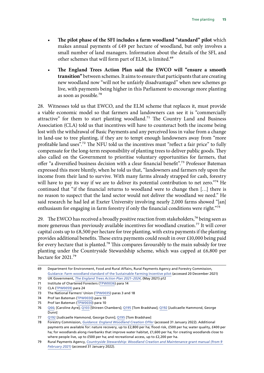- **The pilot phase of the SFI includes a farm woodland "standard" pilot** which makes annual payments of £49 per hectare of woodland, but only involves a small number of land managers. Information about the details of the SFI, and other schemes that will form part of ELM, is limited.<sup>69</sup>
- **The England Trees Action Plan said the EWCO will "ensure a smooth transition"** between schemes. It aims to ensure that participants that are creating new woodland now "will not be unfairly disadvantaged" when new schemes go live, with payments being higher in this Parliament to encourage more planting as soon as possible.70

28. Witnesses told us that EWCO, and the ELM scheme that replaces it, must provide a viable economic model so that farmers and landowners can see it is "commercially attractive" for them to start planting woodland.<sup>71</sup> The Country Land and Business Association (CLA) told us that incentives will have to counteract both the income being lost with the withdrawal of Basic Payments and any perceived loss in value from a change in land-use to tree planting, if they are to tempt enough landowners away from "more profitable land uses".<sup>72</sup> The NFU told us the incentives must "reflect a fair price" to fully compensate for the long-term responsibility of planting trees to deliver public goods. They also called on the Government to prioritise voluntary opportunities for farmers, that offer "a diversified business decision with a clear financial benefit".73 Professor Bateman expressed this more bluntly, when he told us that, "landowners and farmers rely upon the income from their land to survive. With many farms already strapped for cash, forestry will have to pay its way if we are to deliver its potential contribution to net zero."<sup>74</sup> He continued that "if the financial returns to woodland were to change then […] there is no reason to suspect that the land sector would not deliver the woodland we need." He said research he had led at Exeter University involving nearly 2,000 farms showed "[an] enthusiasm for engaging in farm forestry if only the financial conditions were right."<sup>75</sup>

29. The EWCO has received a broadly positive reaction from stakeholders,<sup>76</sup> being seen as more generous than previously available incentives for woodland creation.<sup>77</sup> It will cover capital costs up to £8,500 per hectare for tree planting, with extra payments if the planting provides additional benefits. These extra payments could result in over £10,000 being paid for every hectare that is planted.78 This compares favourably to the main subsidy for tree planting under the Countryside Stewardship scheme, which was capped at £6,800 per hectare for 2021.79

<sup>69</sup> Department for Environment, Food and Rural Affairs, Rural Payments Agency and Forestry Commission, [Guidance: Farm woodland standard of the Sustainable Farming Incentive pilot](https://www.gov.uk/guidance/farm-woodland-standard) (accessed 20 December 2021)

<sup>70</sup> UK Government, *[The England Trees Action Plan 2021–2024](https://assets.publishing.service.gov.uk/government/uploads/system/uploads/attachment_data/file/987061/england-trees-action-plan.pdf)*, (May 2021) p12

<sup>71</sup> Institute of Chartered Foresters ([TPW0036\)](https://committees.parliament.uk/writtenevidence/16089/pdf/) para 14

<sup>72</sup> CLA ([TPW0059\)](https://committees.parliament.uk/writtenevidence/18544/pdf/) para 24

<sup>73</sup> The National Farmers' Union ([TPW0035](https://committees.parliament.uk/writtenevidence/16081/pdf/)) paras 3 and 18

<sup>74</sup> Prof Ian Bateman ([TPW0030](https://committees.parliament.uk/writtenevidence/15632/pdf/)) para 10

<sup>75</sup> Prof Ian Bateman ([TPW0030](https://committees.parliament.uk/writtenevidence/15632/pdf/)) para 10

<sup>76</sup> [Q66](https://committees.parliament.uk/oralevidence/2366/pdf/); [Caroline Ayre]; [Q103](https://committees.parliament.uk/oralevidence/2366/html/) [Shireen Chambers]; [Q195](https://committees.parliament.uk/oralevidence/2717/html/) [Tom Bradshaw]; [Q192](https://committees.parliament.uk/oralevidence/2717/html/) [Judicaelle Hammond, George Dunn]

<sup>77</sup> [Q192](https://committees.parliament.uk/oralevidence/2717/html/) [Judicaelle Hammond, George Dunn]; [Q195](https://committees.parliament.uk/oralevidence/2717/html/) [Tom Bradshaw]

<sup>78</sup> Forestry Commission, *[Guidance: England Woodland Creation Offer](https://www.gov.uk/guidance/england-woodland-creation-offer)* (accessed 31 January 2022). Additional payments are available for: nature recovery, up to £2,800 per ha; flood risk, £500 per ha; water quality, £400 per ha; for woodlands along riverbanks that improve water habitat, £1,600 per ha; for creating woodlands close to where people live, up to £500 per ha; and recreational access, up to £2,200 per ha.

<sup>79</sup> Rural Payments Agency, *[Countryside Stewardship: Woodland Creation and Maintenance grant manual \(from 9](https://www.gov.uk/guidance/countryside-stewardship-woodland-creation-and-maintenance-grant-manual-from-9-february-2021/5-how-it-works)  [February 2021\)](https://www.gov.uk/guidance/countryside-stewardship-woodland-creation-and-maintenance-grant-manual-from-9-february-2021/5-how-it-works)* (accessed 31 January 2022).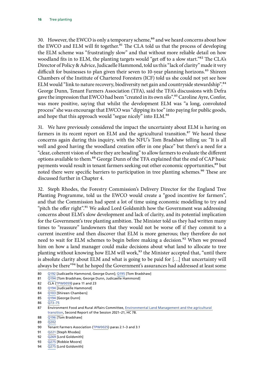30. However, the EWCO is only a temporary scheme,<sup>80</sup> and we heard concerns about how the EWCO and ELM will fit together.<sup>81</sup> The CLA told us that the process of developing the ELM scheme was "frustratingly slow" and that without more reliable detail on how woodland fits in to ELM, the planting targets would "get off to a slow start."82 The CLA's Director of Policy & Advice, Judicaelle Hammond, told us this "lack of clarity" made it very difficult for businesses to plan given their seven to 10-year planning horizons.<sup>83</sup> Shireen Chambers of the Institute of Chartered Foresters (ICF) told us she could not yet see how ELM would "link to nature recovery, biodiversity net gain and countryside stewardship".<sup>84</sup> George Dunn, Tenant Farmers Association (TFA), said the TFA's discussions with Defra gave the impression that EWCO had been "created in its own silo".<sup>85</sup> Caroline Ayre, Confor, was more positive, saying that whilst the development ELM was "a long, convoluted process" she was encourage that EWCO was "dipping its toe" into paying for public goods, and hope that this approach would "segue nicely" into ELM.<sup>86</sup>

31. We have previously considered the impact the uncertainty about ELM is having on farmers in its recent report on ELM and the agricultural transition.<sup>87</sup> We heard these concerns again during this inquiry, with the NFU's Tom Bradshaw telling us: "It is all well and good having the woodland creation offer in one place" but there's a need for a "clear, coherent vision of where they are heading" to allow farmers to evaluate the different options available to them.<sup>88</sup> George Dunn of the TFA explained that the end of CAP basic payments would result in tenant farmers seeking out other economic opportunities,<sup>89</sup> but noted there were specific barriers to participation in tree planting schemes.<sup>90</sup> These are discussed further in Chapter 4.

32. Steph Rhodes, the Forestry Commission's Delivery Director for the England Tree Planting Programme, told us the EWCO would create a "good incentive for farmers", and that the Commission had spent a lot of time using economic modelling to try and "pitch the offer right".<sup>91</sup> We asked Lord Goldsmith how the Government was addressing concerns about ELM's slow development and lack of clarity, and its potential implication for the Government's tree planting ambition. The Minister told us they had written many times to "reassure" landowners that they would not be worse off if they commit to a current incentive and then discover that ELM is more generous; they therefore do not need to wait for ELM schemes to begin before making a decision.<sup>92</sup> When we pressed him on how a land manager could make decisions about what land to allocate to tree planting without knowing how ELM will work,<sup>93</sup> the Minister accepted that, "until there is absolute clarity about ELM and what is going to be paid for […] that uncertainty will always be there"<sup>94</sup> but he hoped the Government's assurances had addressed at least some

- 80 [Q192](https://committees.parliament.uk/oralevidence/2717/html/) [Judicaelle Hammond, George Dunn]; [Q195](https://committees.parliament.uk/oralevidence/2717/html/) [Tom Bradshaw]
- 81 [Q194](https://committees.parliament.uk/oralevidence/2717/html/) [Tom Bradshaw, George Dunn, Judicaelle Hammond]

- 83 [Q194](https://committees.parliament.uk/oralevidence/2717/html/) [Judicaelle Hammond]
- 84 [Q103](https://committees.parliament.uk/oralevidence/2366/html/) [Shireen Chambers]
- 85 [Q194](https://committees.parliament.uk/oralevidence/2717/html/) [George Dunn]
- 86 [Q73–75](https://committees.parliament.uk/oralevidence/2366/html/)

- 88 O196 [Tom Bradshaw]
- 89 [Q202](https://committees.parliament.uk/oralevidence/2719/html/)
- 90 Tenant Farmers Association [\(TPW0025](https://committees.parliament.uk/writtenevidence/15485/pdf/)) paras 2.1–3 and 3.1
- 91 [Q221](https://committees.parliament.uk/oralevidence/2717/html/) [Steph Rhodes]
- 92 [Q269](https://committees.parliament.uk/oralevidence/3074/pdf/) [Lord Goldsmith]
- 93 [Q275](https://committees.parliament.uk/oralevidence/3074/pdf/) [Robbie Moore]
- 94 [Q275](https://committees.parliament.uk/oralevidence/3074/pdf/) [Lord Goldsmith]

<sup>82</sup> CLA ([TPW0059\)](https://committees.parliament.uk/writtenevidence/18544/pdf/) para 11 and 23

<sup>87</sup> Environment Food and Rural Affairs Committee, [Environmental Land Management and the agricultural](https://committees.parliament.uk/work/886/environmental-land-management-and-the-agricultural-transition/publications/)  [transition](https://committees.parliament.uk/work/886/environmental-land-management-and-the-agricultural-transition/publications/), Second Report of the Session 2021–21, HC 78.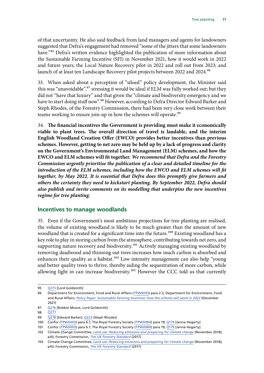<span id="page-17-0"></span>of that uncertainty. He also said feedback from land managers and agents for landowners suggested that Defra's engagement had removed "some of the jitters that some landowners have."<sup>95</sup> Defra's written evidence highlighted the publication of more information about the Sustainable Farming Incentive (SFI) in November 2021, how it would work in 2022 and future years; the Local Nature Recovery pilot in 2022 and roll out from 2023; and launch of at least ten Landscape Recovery pilot projects between 2022 and 2024.<sup>96</sup>

33. When asked about a perception of "siloed" policy development, the Minister said this was "unavoidable",<sup>97</sup> stressing it would be ideal if ELM was fully worked out; but they did not "have that luxury" and that given the "climate and biodiversity emergency and we have to start doing stuff now".<sup>98</sup> However, according to Defra Director Edward Barker and Steph Rhodes, of the Forestry Commission, there had been very close work between their teams working to ensure join-up in how the schemes will operate.<sup>99</sup>

34. **The financial incentives the Government is providing must make it economically viable to plant trees. The overall direction of travel is laudable, and the interim English Woodland Creation Offer (EWCO) provides better incentives than previous schemes. However, getting to net zero may be held up by a lack of progress and clarity on the Government's Environmental Land Management (ELM) schemes, and how the EWCO and ELM schemes will fit together.** *We recommend that Defra and the Forestry Commission urgently prioritise the publication of a clear and detailed timeline for the*  introduction of the ELM schemes, including how the EWCO and ELM schemes will fit *together, by May 2022. It is essential that Defra does this promptly give farmers and others the certainty they need to kickstart planting. By September 2022, Defra should also publish and invite comments on its modelling that underpins the new incentives regime for tree planting.*

#### **Incentives to manage woodlands**

35. Even if the Government's most ambitious projections for tree planting are realised, the volume of existing woodland is likely to be much greater than the amount of new woodland that is created for a significant time into the future.<sup>100</sup> Existing woodland has a key role to play in storing carbon from the atmosphere, contributing towards net zero, and supporting nature recovery and biodiversity.<sup>101</sup> Actively managing existing woodland by removing deadwood and thinning out trees increases how much carbon is absorbed and enhances their quality as a habitat.<sup>102</sup> Low intensity management can also help "young and better quality trees to thrive, thereby aiding the sequestration of more carbon, while allowing light in can increase biodiversity.<sup>103</sup> However the CCC told us that currently

<sup>95</sup> [Q275](https://committees.parliament.uk/oralevidence/3074/pdf/) [Lord Goldsmith]

<sup>96</sup> Department for Environment, Food and Rural Affairs ([TPW0093\)](https://committees.parliament.uk/writtenevidence/41426/default/) para 2.2; Department for Environment, Food and Rural Affairs, *[Policy Paper: Sustainable Farming Incentive: how the scheme will work in 2022](https://www.gov.uk/government/publications/sustainable-farming-incentive-how-the-scheme-will-work-in-2022/sustainable-farming-incentive-how-the-scheme-will-work-in-2022)* (December 2021)

<sup>97</sup> [Q276](https://committees.parliament.uk/oralevidence/3074/pdf/) [Robbie Moore, Lord Goldsmith]

<sup>98</sup> [Q277](https://committees.parliament.uk/oralevidence/3074/pdf/)

<sup>99</sup> [Q278](https://committees.parliament.uk/oralevidence/3074/pdf/) [Edward Barker]; [Q223](https://committees.parliament.uk/oralevidence/2717/html/) [Steph Rhodes]

<sup>100</sup> Confor ([TPW0003](https://committees.parliament.uk/writtenevidence/12906/pdf/)) para 6.1; The Royal Forestry Society ([TPW0084](https://committees.parliament.uk/writtenevidence/23607/default/)) para 19; [Q179](https://committees.parliament.uk/oralevidence/2558/pdf/) [Jenna Hegarty]

<sup>101</sup> Confor ([TPW0003](https://committees.parliament.uk/writtenevidence/12906/pdf/)) para 6.1; The Royal Forestry Society ([TPW0084](https://committees.parliament.uk/writtenevidence/23607/default/)) para 19; [Q179](https://committees.parliament.uk/oralevidence/2558/pdf/) [Jenna Hegarty]

<sup>102</sup> Climate Change Committee, *[Land use: Reducing emissions and preparing for climate change](https://www.theccc.org.uk/publication/land-use-reducing-emissions-and-preparing-for-climate-change/)* (November 2018), p43; Forestry Commission, *[The UK Forestry Standard](https://assets.publishing.service.gov.uk/government/uploads/system/uploads/attachment_data/file/687147/The_UK_Forestry_Standard.pdf)* (2017)

<sup>103</sup> Climate Change Committee, *[Land use: Reducing emissions and preparing for climate change](https://www.theccc.org.uk/publication/land-use-reducing-emissions-and-preparing-for-climate-change/)* (November 2018), p43; Forestry Commission, *[The UK Forestry Standard](https://assets.publishing.service.gov.uk/government/uploads/system/uploads/attachment_data/file/687147/The_UK_Forestry_Standard.pdf)* (2017)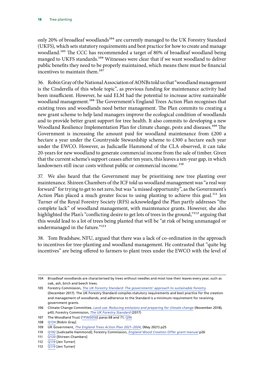only 20% of broadleaf woodlands<sup>104</sup> are currently managed to the UK Forestry Standard (UKFS), which sets statutory requirements and best practice for how to create and manage woodland.<sup>105</sup> The CCC has recommended a target of 80% of broadleaf woodland being manged to UKFS standards.<sup>106</sup> Witnesses were clear that if we want woodland to deliver public benefits they need to be properly maintained, which means there must be financial incentives to maintain them.<sup>107</sup>

36. Robin Gray of the National Association of AONBs told us that "woodland management is the Cinderella of this whole topic", as previous funding for maintenance activity had been insufficient. However, he said ELM had the potential to increase active sustainable woodland management.<sup>108</sup> The Government's England Trees Action Plan recognises that existing trees and woodlands need better management. The Plan commits to creating a new grant scheme to help land managers improve the ecological condition of woodlands and to provide better grant support for tree health. It also commits to developing a new Woodland Resilience Implementation Plan for climate change, pests and diseases.<sup>109</sup> The Government is increasing the amount paid for woodland maintenance from  $\text{\pounds}200$  a hectare a year under the Countryside Stewardship scheme to £300 a hectare each year under the EWCO. However, as Judicaelle Hammond of the CLA observed, it can take 20-years for new woodland to generate commercial income from the sale of timber. Given that the current scheme's support ceases after ten years, this leaves a ten-year gap, in which landowners still incur costs without public or commercial income.<sup>110</sup>

37. We also heard that the Government may be prioritising new tree planting over maintenance. Shireen Chambers of the ICF told us woodland management was "a real way forward" for trying to get to net zero, but was "a missed opportunity", as the Government's Action Plan placed a much greater focus to using planting to achieve this goal.<sup>111</sup> Jen Turner of the Royal Forestry Society (RFS) acknowledged the Plan partly addresses "the complete lack" of woodland management, with maintenance grants. However, she also highlighted the Plan's "conflicting desire to get lots of trees in the ground,"<sup>112</sup> arguing that this would lead to a lot of trees being planted that will be "at risk of being unmanaged or undermanaged in the future."<sup>113</sup>

38. Tom Bradshaw, NFU, argued that there was a lack of co-ordination in the approach to incentives for tree-planting and woodland management. He contrasted that "quite big incentives" are being offered to farmers to plant trees under the EWCO with the level of

<sup>104</sup> Broadleaf woodlands are characterised by trees without needles and most lose their leaves every year, such as oak, ash, birch and beech trees.

<sup>105</sup> Forestry Commission, *[The UK Forestry Standard: The governments' approach to sustainable forestry](https://assets.publishing.service.gov.uk/government/uploads/system/uploads/attachment_data/file/687147/The_UK_Forestry_Standard.pdf)* (December 2017). The UK Forestry Standard compiles statutory requirements and best practice for the creation and management of woodlands, and adherence to the Standard is a minimum requirement for receiving government grants.

<sup>106</sup> Climate Change Committee, *[Land use: Reducing emissions and preparing for climate change](https://www.theccc.org.uk/publication/land-use-reducing-emissions-and-preparing-for-climate-change/)* (November 2018), p43; Forestry Commission, *[The UK Forestry Standard](https://assets.publishing.service.gov.uk/government/uploads/system/uploads/attachment_data/file/687147/The_UK_Forestry_Standard.pdf)* (2017)

<sup>107</sup> The Woodland Trust ([TPW0056\)](https://committees.parliament.uk/writtenevidence/18470/pdf/) paras 68 and 71; [Q96](https://committees.parliament.uk/oralevidence/2366/pdf/)

<sup>108</sup> [Q134](https://committees.parliament.uk/oralevidence/2558/pdf/) [Robin Gray]

<sup>109</sup> UK Government, *[The England Trees Action Plan 2021–2024](https://assets.publishing.service.gov.uk/government/uploads/system/uploads/attachment_data/file/987061/england-trees-action-plan.pdf)*, (May 2021) p25

<sup>110</sup> [Q192](https://committees.parliament.uk/oralevidence/2717/html/) [Judicaelle Hammond]; Forestry Commission, *[England Wood Creation Offer grant manual](https://assets.publishing.service.gov.uk/government/uploads/system/uploads/attachment_data/file/1019929/EWCO_Grant_Manual_v2.0_.pdf)* p26

<sup>111</sup> [Q120](https://committees.parliament.uk/oralevidence/2366/pdf/) [Shireen Chambers]

<sup>112</sup> [Q119](https://committees.parliament.uk/oralevidence/2366/pdf/) [Jen Turner]

<sup>113</sup> [Q119](https://committees.parliament.uk/oralevidence/2366/pdf/) [Jen Turner]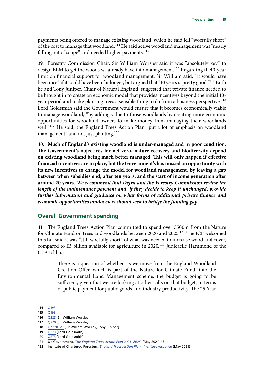<span id="page-19-0"></span>payments being offered to manage existing woodland, which he said fell "woefully short" of the cost to manage that woodland.<sup>114</sup> He said active woodland management was "nearly falling out of scope" and needed higher payments.<sup>115</sup>

39. Forestry Commission Chair, Sir William Worsley said it was "absolutely key" to design ELM to get the woods we already have into management.<sup>116</sup> Regarding the10-year limit on financial support for woodland management, Sir William said, "it would have been nice" if it could have been for longer, but argued that "10 years is pretty good."117 Both he and Tony Juniper, Chair of Natural England, suggested that private finance needed to be brought in to create an economic model that provides incentives beyond the initial 10 year period and make planting trees a sensible thing to do from a business perspective.<sup>118</sup> Lord Goldsmith said the Government would ensure that it becomes economically viable to manage woodland, "by adding value to those woodlands by creating more economic opportunities for woodland owners to make money from managing their woodlands well."<sup>119</sup> He said, the England Trees Action Plan "put a lot of emphasis on woodland management" and not just planting.<sup>120</sup>

40. **Much of England's existing woodland is under-managed and in poor condition. The Government's objectives for net zero, nature recovery and biodiversity depend on existing woodland being much better managed. This will only happen if effective financial incentives are in place, but the Government's has missed an opportunity with its new incentives to change the model for woodland management, by leaving a gap between when subsidies end, after ten years, and the start of income generation after around 20 years.** *We recommend that Defra and the Forestry Commission review the*  length of the maintenance payment and, if they decide to keep it unchanged, provide *further information and guidance on what forms of additional private finance and economic opportunities landowners should seek to bridge the funding gap.*

### **Overall Government spending**

41. The England Trees Action Plan committed to spend over £500m from the Nature for Climate Fund on trees and woodlands between 2020 and 2025.<sup>121</sup> The ICF welcomed this but said it was "still woefully short" of what was needed to increase woodland cover, compared to  $\pounds$ 3 billion available for agriculture in 2020.<sup>122</sup> Judicaelle Hammond of the CLA told us:

> There is a question of whether, as we move from the England Woodland Creation Offer, which is part of the Nature for Climate Fund, into the Environmental Land Management scheme, the budget is going to be sufficient, given that we are looking at other calls on that budget, in terms of public payment for public goods and industry productivity. The 25-Year

<sup>114</sup> [Q193](https://committees.parliament.uk/oralevidence/2717/html/)

<sup>115</sup> [Q193](https://committees.parliament.uk/oralevidence/2717/html/)

<sup>116</sup> [Q223](https://committees.parliament.uk/oralevidence/2717/html/) [Sir William Worsley] 117 [Q220](https://committees.parliament.uk/oralevidence/2717/html/) [Sir William Worsley]

<sup>118</sup> Qq220-21 [Sir William Worsley, Tony Juniper]

<sup>119</sup> [Q273](https://committees.parliament.uk/oralevidence/3074/pdf/) [Lord Goldsmith]

<sup>120</sup> O273 [Lord Goldsmith]

<sup>121</sup> UK Government, *[The England Trees Action Plan 2021–2024](https://assets.publishing.service.gov.uk/government/uploads/system/uploads/attachment_data/file/987061/england-trees-action-plan.pdf)*, (May 2021) p3

<sup>122</sup> Institute of Chartered Foresters, *[England Trees Action Plan - Institute response](https://www.charteredforesters.org/england-trees-action-plan-institute-response)* (May 2021)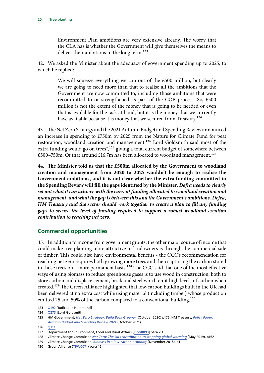<span id="page-20-0"></span>Environment Plan ambitions are very extensive already. The worry that the CLA has is whether the Government will give themselves the means to deliver their ambitions in the long term.<sup>123</sup>

42. We asked the Minister about the adequacy of government spending up to 2025, to which he replied:

> We will squeeze everything we can out of the £500 million, but clearly we are going to need more than that to realise all the ambitions that the Government are now committed to, including those ambitions that were recommitted to or strengthened as part of the COP process. So, £500 million is not the extent of the money that is going to be needed or even that is available for the task at hand, but it is the money that we currently have available because it is money that we secured from Treasury.<sup>124</sup>

43. The Net Zero Strategy and the 2021 Autumn Budget and Spending Review announced an increase in spending to £750m by 2025 from the Nature for Climate Fund for peat restoration, woodland creation and management.<sup>125</sup> Lord Goldsmith said most of the extra funding would go on trees",<sup>126</sup> giving a total current budget of somewhere between £500–750m. Of that around £16.7m has been allocated to woodland management.<sup>127</sup>

44. **The Minister told us that the £500m allocated by the Government to woodland creation and management from 2020 to 2025 wouldn't be enough to realise the Government ambitions, and it is not clear whether the extra funding committed in the Spending Review will fill the gaps identified by the Minister.** *Defra needs to clearly set out what it can achieve with the current funding allocated to woodland creation and management, and what the gap is between this and the Government's ambitions. Defra, HM Treasury and the sector should work together to create a plan to fill any funding gaps to secure the level of funding required to support a robust woodland creation contribution to reaching net zero.*

### **Commercial opportunities**

45. In addition to income from government grants, the other major source of income that could make tree planting more attractive to landowners is through the commercial sale of timber. This could also have environmental benefits - the CCC's recommendation for reaching net zero requires both growing more trees and then capturing the carbon stored in those trees on a more permanent basis.<sup>128</sup> The CCC said that one of the most effective ways of using biomass to reduce greenhouse gases is to use wood in construction, both to store carbon and displace cement, brick and steel which emit high levels of carbon when created.<sup>129</sup> The Green Alliance highlighted that low-carbon buildings built in the UK had been delivered at no extra cost while using material (including timber) whose production emitted 25 and 50% of the carbon compared to a conventional building.<sup>130</sup>

<sup>123</sup> [Q192](https://committees.parliament.uk/oralevidence/2717/html/) [Judicaelle Hammond]

<sup>124</sup> [Q273](https://committees.parliament.uk/oralevidence/3074/html/) [Lord Goldsmith]

<sup>125</sup> HM Government, *[Net Zero Strategy: Build Back Greener](https://www.gov.uk/government/publications/net-zero-strategy)*, (October 2020) p176; HM Treasury, *[Policy Paper:](https://www.gov.uk/government/publications/autumn-budget-and-spending-review-2021-documents/autumn-budget-and-spending-review-2021-html)  [Autumn Budget and Spending Review 2021](https://www.gov.uk/government/publications/autumn-budget-and-spending-review-2021-documents/autumn-budget-and-spending-review-2021-html)* (October 2021)

<sup>126</sup> [Q311](https://committees.parliament.uk/oralevidence/3074/html/)

<sup>127</sup> Department for Environment, Food and Rural Affairs [[TPW0093](https://committees.parliament.uk/writtenevidence/41426/default/)] para 2.1

<sup>128</sup> Climate Change Committee *[Net Zero: The UKs contribution to stopping global warming](https://www.theccc.org.uk/wp-content/uploads/2019/05/Net-Zero-The-UKs-contribution-to-stopping-global-warming.pdf)* (May 2019), p162

<sup>129</sup> Climate Change Committee, *[Biomass in a low-carbon economy](https://www.theccc.org.uk/publication/biomass-in-a-low-carbon-economy/)* (November 2018), p11

<sup>130</sup> Green Alliance ([TPW0071\)](https://committees.parliament.uk/writtenevidence/18690/pdf/) para 16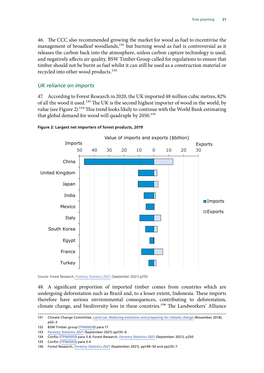46. The CCC also recommended growing the market for wood as fuel to incentivise the management of broadleaf woodlands,<sup>131</sup> but burning wood as fuel is controversial as it releases the carbon back into the atmosphere, unless carbon capture technology is used, and negatively affects air quality. BSW Timber Group called for regulations to ensure that timber should not be burnt as fuel whilst it can still be used as a construction material or recycled into other wood products.132

#### *UK reliance on imports*

47. According to Forest Research in 2020, the UK imported 48 million cubic metres, 82% of all the wood it used.<sup>133</sup> The UK is the second highest importer of wood in the world, by value (see Figure 2).<sup>134</sup> This trend looks likely to continue with the World Bank estimating that global demand for wood will quadruple by 2050.<sup>135</sup>



#### **Figure 2: Largest net importers of forest products, 2019** Figure 9.6 Largest net importers of forest products, 2019

Source: Forest Research, [Forestry Statistics 2021](https://www.forestresearch.gov.uk/documents/8205/Complete_FS2021_JvYjBWA.pdf) (September 2021) p250

48. A significant proportion of imported timber comes from countries which are undergoing deforestation such as Brazil and, to a lesser extent, Indonesia. These imports therefore have serious environmental consequences, contributing to deforestation, climate change, and biodiversity loss in these countries.<sup>136</sup> The Landworkers' Alliance

see the Sources chapter.

<sup>131</sup> Climate Change Committee, *[Land use: Reducing emissions and preparing for climate change](https://www.theccc.org.uk/publication/land-use-reducing-emissions-and-preparing-for-climate-change/)* (November 2018), p42–3

<sup>132</sup> BSW Timber group ([TPW0078](https://committees.parliament.uk/writtenevidence/18707/pdf)) para 17

<sup>133</sup> Forestry Statistics 2021 (September 2021) pp135-6

<sup>134</sup> Confor ([TPW0003](https://committees.parliament.uk/writtenevidence/12906/pdf/)) para 3.4; Forest Research, *[Forestry Statistics 2021](https://www.forestresearch.gov.uk/documents/8205/Complete_FS2021_JvYjBWA.pdf)* (September 2021), p250

<sup>135</sup> Confor ([TPW0003](https://committees.parliament.uk/writtenevidence/12906/pdf/)) para 3.4

<sup>136</sup> Forest Research, *[Forestry Statistics 2021](https://www.forestresearch.gov.uk/documents/8205/Complete_FS2021_JvYjBWA.pdf)* (September 2021), pp149–50 and pp235–7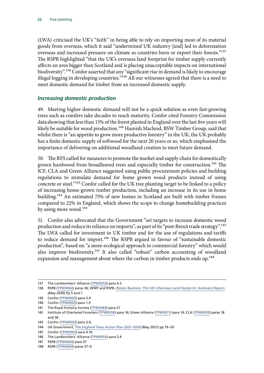<span id="page-22-0"></span>(LWA) criticised the UK's "faith" in being able to rely on importing most of its material goods from overseas, which it said "undermined UK industry [and] led to deforestation overseas and increased pressure on climate as countries burn or export their forests."137 The RSPB highlighted "that the UK's overseas land footprint for timber supply currently affects an area bigger than Scotland and is placing unacceptable impacts on international biodiversity".<sup>138</sup> Confor asserted that any "significant rise in demand is likely to encourage illegal logging in developing countries."<sup>139</sup> All our witnesses agreed that there is a need to meet domestic demand for timber from an increased domestic supply.

#### *Increasing domestic production*

49. Meeting higher domestic demand will not be a quick solution as even fast-growing trees such as conifers take decades to reach maturity. Confor cited Forestry Commission data showing that less than 15% of the forest planted in England over the last five years will likely be suitable for wood production.<sup>140</sup> Hamish Macleod, BSW Timber Group, said that whilst there is "an appetite to grow more productive forestry" in the UK, the UK probably has a finite domestic supply of softwood for the next 20 years or so, which emphasised the importance of delivering on additional woodland creation to meet future demand.

50. The RFS called for measures to promote the market and supply chain for domestically grown hardwood from broadleaved trees and especially timber for construction.<sup>141</sup> The ICF, CLA and Green Alliance suggested using public procurement policies and building regulations to stimulate demand for home grown wood products instead of using concrete or steel."142 Confor called for the UK tree planting target to be linked to a policy of increasing home-grown timber production, including an increase in its use in home building.143 An estimated 75% of new homes in Scotland are built with timber frames compared to 22% in England, which shows the scope to change homebuilding practices by using more wood.<sup>144</sup>

51. Confor also advocated that the Government "set targets to increase domestic wood production and reduce its reliance on imports", as part of its "post-Brexit trade strategy".145 The LWA called for investment in UK timber and for the use of regulations and tariffs to reduce demand for import.<sup>146</sup> The RSPB argued in favour of "sustainable domestic production", based on "a more ecological approach to commercial forestry" which would also improve biodiversity.<sup>147</sup> It also called "robust" carbon accounting of woodland expansion and management about where the carbon in timber products ends up.<sup>148</sup>

<sup>137</sup> The Landworkers' Alliance ([TPW0054\)](https://committees.parliament.uk/writtenevidence/18446/pdf/) para 4.5

<sup>138</sup> RSPB ([TPW0064](https://committees.parliament.uk/writtenevidence/18581/pdf/)) paras 36; WWF and RSPB, *[Riskier Business: The UK's Overseas Land Footprint, Summary Report](https://www.rspb.org.uk/globalassets/downloads/documents/risky-business/risky-business-report-summary.pdf)*, (May 2020) Pp 5 and 7

<sup>139</sup> Confor ([TPW0003](https://committees.parliament.uk/writtenevidence/12906/pdf/)) para 3.4

<sup>140</sup> Confor ([TPW0003](https://committees.parliament.uk/writtenevidence/12906/pdf/)) para 1.9

<sup>141</sup> The Royal Forestry Society ([TPW0084](https://committees.parliament.uk/writtenevidence/23607/default/)) para 21

<sup>142</sup> Institute of Chartered Foresters ([TPW0036\)](https://committees.parliament.uk/writtenevidence/16089/pdf/) para 16; Green Alliance ([TPW0071](https://committees.parliament.uk/writtenevidence/18690/pdf/)) para 16; CLA ([TPW0059](https://committees.parliament.uk/writtenevidence/18544/pdf/)) paras 18 and 36

<sup>143</sup> Confor ([TPW0003](https://committees.parliament.uk/writtenevidence/12906/pdf/)) para 3.4,

<sup>144</sup> UK Government, *[The England Trees Action Plan 2021–2024](https://assets.publishing.service.gov.uk/government/uploads/system/uploads/attachment_data/file/987061/england-trees-action-plan.pdf)* (May 2021) pp 19–20

<sup>145</sup> Confor ([TPW0003](https://committees.parliament.uk/writtenevidence/12906/pdf/)) para 4.10

<sup>146</sup> The Landworkers' Alliance ([TPW0054\)](https://committees.parliament.uk/writtenevidence/18446/pdf/) para 5.4

<sup>147</sup> RSPB ([TPW0064](https://committees.parliament.uk/writtenevidence/18581/pdf/)) para 37

<sup>148</sup> RSPB ([TPW0064](https://committees.parliament.uk/writtenevidence/18581/pdf/)) paras 37–9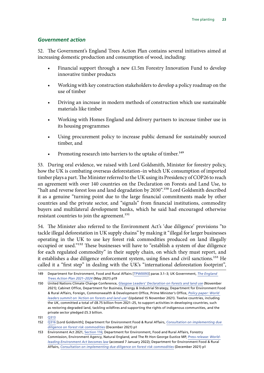#### <span id="page-23-0"></span>*Government action*

52. The Government's England Trees Action Plan contains several initiatives aimed at increasing domestic production and consumption of wood, including:

- Financial support through a new £1.5m Forestry Innovation Fund to develop innovative timber products
- Working with key construction stakeholders to develop a policy roadmap on the use of timber
- Driving an increase in modern methods of construction which use sustainable materials like timber
- Working with Homes England and delivery partners to increase timber use in its housing programmes
- Using procurement policy to increase public demand for sustainably sourced timber, and
- Promoting research into barriers to the uptake of timber.<sup>149</sup>

53. During oral evidence, we raised with Lord Goldsmith, Minister for forestry policy, how the UK is combating overseas deforestation–in which UK consumption of imported timber plays a part. The Minister referred to the UK using its Presidency of COP26 to reach an agreement with over 140 countries on the Declaration on Forests and Land Use, to "halt and reverse forest loss and land degradation by 2030".<sup>150</sup> Lord Goldsmith described it as a genuine "turning point due to the large financial commitments made by other countries and the private sector, and "signals" from financial institutions, commodity buyers and multilateral development banks, which he said had encouraged otherwise resistant countries to join the agreement.<sup>151</sup>

54. The Minister also referred to the Environment Act's 'due diligence' provisions "to tackle illegal deforestation in UK supply chains" by making it "illegal for larger businesses operating in the UK to use key forest risk commodities produced on land illegally occupied or used."152 These businesses will have to "establish a system of due diligence for each regulated commodity" in their supply chain, on which they must report, and it establishes a due diligence enforcement system, using fines and civil sanctions.<sup>153</sup> He called it a "first step" in dealing with the UK's "international deforestation footprint",

152 [Q316](https://committees.parliament.uk/oralevidence/3074/html/) [Lord Goldsmith]; Department for Environment Food & Rural Affairs, *[Consultation on implementing due](https://consult.defra.gov.uk/international-biodiversity-and-climate/implementing-due-diligence-forest-risk-commodities/supporting_documents/implementingduediligenceconsultationdocument.pdf)  [diligence on forest risk commodities](https://consult.defra.gov.uk/international-biodiversity-and-climate/implementing-due-diligence-forest-risk-commodities/supporting_documents/implementingduediligenceconsultationdocument.pdf)* (December 2021) p1

<sup>149</sup> Department for Environment, Food and Rural Affairs [[TPW0093](https://committees.parliament.uk/writtenevidence/41426/default/)] paras 3.1–3; UK Government, *[The England](https://assets.publishing.service.gov.uk/government/uploads/system/uploads/attachment_data/file/987061/england-trees-action-plan.pdf)  [Trees Action Plan 2021–2024](https://assets.publishing.service.gov.uk/government/uploads/system/uploads/attachment_data/file/987061/england-trees-action-plan.pdf)* (May 2021) p19

<sup>150</sup> United Nations Climate Change Conference, *[Glasgow Leaders' Declaration on forests and land use](https://ukcop26.org/glasgow-leaders-declaration-on-forests-and-land-use/)* (November 2021); Cabinet Office, Department for Business, Energy & Industrial Strategy, Department for Environment Food & Rural Affairs, Foreign, Commonwealth & Development Office, Prime Minister's Office, *[Policy paper: World](https://www.gov.uk/government/publications/cop26-world-leaders-summit-on-action-on-forests-and-land-use-2-november-2021/world-leaders-summit-on-action-on-forests-and-land-use)  [leaders summit on 'Action on forests and land use'](https://www.gov.uk/government/publications/cop26-world-leaders-summit-on-action-on-forests-and-land-use-2-november-2021/world-leaders-summit-on-action-on-forests-and-land-use)* (Updated 15 November 2021). Twelve countries, including the UK, committed a total of £8.75 billion from 2021–25, to support activities in developing countries, such as restoring degraded land, tackling wildfires and supporting the rights of indigenous communities, and the private sector pledged £5.3 billion.

<sup>151</sup> [Q313](https://committees.parliament.uk/oralevidence/3074/html/)

<sup>153</sup> Environment Act 2021, [Section 116;](https://www.legislation.gov.uk/ukpga/2021/30/pdfs/ukpga_20210030_en.pdf) Department for Environment, Food and Rural Affairs, Forestry Commission, Environment Agency, Natural England, and The Rt Hon George Eustice MP, *[Press release: World](https://www.gov.uk/government/news/world-leading-environment-act-becomes-law)[leading Environment Act becomes law](https://www.gov.uk/government/news/world-leading-environment-act-becomes-law)* (accessed 7 January 2022); Department for Environment Food & Rural Affairs, *[Consultation on implementing due diligence on forest risk commodities](https://consult.defra.gov.uk/international-biodiversity-and-climate/implementing-due-diligence-forest-risk-commodities/supporting_documents/implementingduediligenceconsultationdocument.pdf)* (December 2021) p1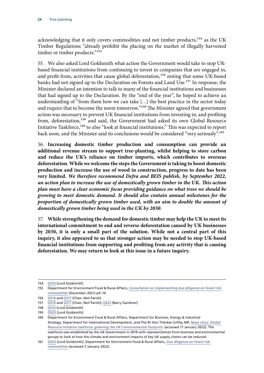acknowledging that it only covers commodities and not timber products,<sup>154</sup> as the UK Timber Regulations "already prohibit the placing on the market of illegally harvested timber or timber products."<sup>155</sup>

55. We also asked Lord Goldsmith what action the Government would take to stop UKbased financial institutions from continuing to invest in companies that are engaged in, and profit from, activities that cause global deforestation,<sup>156</sup> noting that some UK-based banks had not signed up to the Declaration on Forests and Land Use.<sup>157</sup> In response, the Minister declared an intention to talk to many of the financial institutions and businesses that had signed up to the Declaration. By the "end of the year", he hoped to achieve an understanding of "from them how we can take […] the best practice in the sector today and require that to become the norm tomorrow."<sup>158</sup> The Minister agreed that government action was necessary to prevent UK financial institutions from investing in, and profiting from, deforestation,<sup>159</sup> and said, the Government had asked its own Global Resource Initiative Taskforce,<sup>160</sup> to also "look at financial institutions." This was expected to report back soon, and the Minister said its conclusions would be considered "very seriously".161

56. **Increasing domestic timber production and consumption can provide an additional revenue stream to support tree-planting, whilst helping to store carbon and reduce the UK's reliance on timber imports, which contributes to overseas deforestation. While we welcome the steps the Government is taking to boost domestic production and increase the use of wood in construction, progress to date has been very limited.** *We therefore recommend Defra and BEIS publish, by September 2022, an action plan to increase the use of domestically grown timber in the UK. This action plan must have a clear economic focus providing guidance on what trees we should be growing to meet domestic demand. It should also contain annual milestones for the proportion of domestically grown timber used, with an aim to double the amount of domestically grown timber being used in the UK by 2030***.**

57. **While strengthening the demand for domestic timber may help the UK to meet its international commitment to end and reverse deforestation caused by UK businesses by 2030, it is only a small part of the solution. While not a central part of this inquiry, it also appeared to us that stronger action may be needed to stop UK-based financial institutions from supporting and profiting from any activity that is causing deforestation. We may return to look at this issue in a future inquiry.**

<sup>154</sup> [Q316](https://committees.parliament.uk/oralevidence/3074/html/) [Lord Goldsmith]

<sup>155</sup> Department for Environment Food & Rural Affairs, *[Consultation on implementing due diligence on forest risk](https://consult.defra.gov.uk/international-biodiversity-and-climate/implementing-due-diligence-forest-risk-commodities/supporting_documents/implementingduediligenceconsultationdocument.pdf)  [commodities](https://consult.defra.gov.uk/international-biodiversity-and-climate/implementing-due-diligence-forest-risk-commodities/supporting_documents/implementingduediligenceconsultationdocument.pdf)* (December 2021) p9–10

<sup>156</sup> [Q316](https://committees.parliament.uk/oralevidence/3074/html/) and [Q317](https://committees.parliament.uk/oralevidence/3074/html/) [Chair, Neil Parish]

<sup>157</sup> [Q316](https://committees.parliament.uk/oralevidence/3074/html/) and [Q317](https://committees.parliament.uk/oralevidence/3074/html/) [Chair, Neil Parish]; [Q323](https://committees.parliament.uk/oralevidence/3074/html/) [Barry Gardiner]

<sup>158</sup> [Q316](https://committees.parliament.uk/oralevidence/3074/html/) [Lord Goldsmith]

<sup>159</sup> [Q323](https://committees.parliament.uk/oralevidence/3074/html/) [Lord Goldsmith]

<sup>160</sup> Department for Environment Food & Rural Affairs, Department for Business, Energy & Industrial Strategy, Department for International Development, and The Rt Hon Thérèse Coffey MP, *[News story: Global](https://www.gov.uk/government/news/global-resource-initiative-taskforce-greening-the-uks-environmental-footprint)  [Resource Initiative taskforce: greening the UK's environmental footprint](https://www.gov.uk/government/news/global-resource-initiative-taskforce-greening-the-uks-environmental-footprint)*. (accessed 17 January 2022). The taskforce was established by the UK Government in 2019 with representatives from business and environmental groups to look at how the climate and environment impacts of key UK supply chains can be reduced.

<sup>161</sup> [Q323](https://committees.parliament.uk/oralevidence/3074/html/) [Lord Goldsmith]. Department for Environment Food & Rural Affairs, *[Due diligence on forest risk](https://consult.defra.gov.uk/eu/due-diligence-on-forest-risk-commodities/) [commodities](https://consult.defra.gov.uk/eu/due-diligence-on-forest-risk-commodities/)* (accessed 7 January 2022).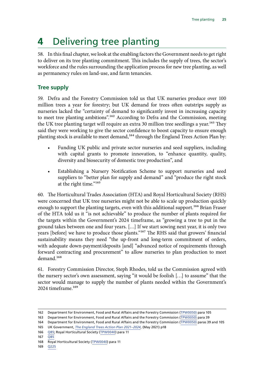# <span id="page-25-0"></span>**4** Delivering tree planting

58. In this final chapter, we look at the enabling factors the Government needs to get right to deliver on its tree planting commitment. This includes the supply of trees, the sector's workforce and the rules surrounding the application process for new tree planting, as well as permanency rules on land-use, and farm tenancies.

## **Tree supply**

59. Defra and the Forestry Commission told us that UK nurseries produce over 100 million trees a year for forestry; but UK demand for trees often outstrips supply as nurseries lacked the "certainty of demand to significantly invest in increasing capacity to meet tree planting ambitions".<sup>162</sup> According to Defra and the Commission, meeting the UK tree planting target will require an extra 30 million tree seedlings a year.<sup>163</sup> They said they were working to give the sector confidence to boost capacity to ensure enough planting stock is available to meet demand,<sup>164</sup> through the England Trees Action Plan by:

- Funding UK public and private sector nurseries and seed suppliers, including with capital grants to promote innovation, to "enhance quantity, quality, diversity and biosecurity of domestic tree production", and
- Establishing a Nursery Notification Scheme to support nurseries and seed suppliers to "better plan for supply and demand" and "produce the right stock at the right time."<sup>165</sup>

60. The Horticultural Trades Association (HTA) and Royal Horticultural Society (RHS) were concerned that UK tree nurseries might not be able to scale up production quickly enough to support the planting targets, even with this additional support.<sup>166</sup> Brian Fraser of the HTA told us it "is not achievable" to produce the number of plants required for the targets within the Government's 2024 timeframe, as "growing a tree to put in the ground takes between one and four years. […] If we start sowing next year, it is only two years [before] we have to produce those plants."<sup>167</sup> The RHS said that growers' financial sustainability means they need "the up-front and long-term commitment of orders, with adequate down-payment/deposits [and] "advanced notice of requirements through forward contracting and procurement" to allow nurseries to plan production to meet demand.168

61. Forestry Commission Director, Steph Rhodes, told us the Commission agreed with the nursery sector's own assessment, saying "it would be foolish […] to assume" that the sector would manage to supply the number of plants needed within the Government's 2024 timeframe.<sup>169</sup>

- 166 [Q85](https://committees.parliament.uk/oralevidence/2366/html/); Royal Horticultural Society ([TPW0040](https://committees.parliament.uk/writtenevidence/16122/html/)) para 11
- 167 [Q85](https://committees.parliament.uk/oralevidence/2366/html/)

169 [Q225](https://committees.parliament.uk/oralevidence/2719/html/)

<sup>162</sup> Department for Environment, Food and Rural Affairs and the Forestry Commission ([TPW0050\)](https://committees.parliament.uk/writtenevidence/18397/pdf/) para 105

<sup>163</sup> Department for Environment, Food and Rural Affairs and the Forestry Commission ([TPW0050\)](https://committees.parliament.uk/writtenevidence/18397/pdf/) para 39

<sup>164</sup> Department for Environment, Food and Rural Affairs and the Forestry Commission ([TPW0050\)](https://committees.parliament.uk/writtenevidence/18397/pdf/) paras 39 and 105 165 UK Government, *[The England Trees Action Plan 2021–2024](https://assets.publishing.service.gov.uk/government/uploads/system/uploads/attachment_data/file/987061/england-trees-action-plan.pdf)*, (May 2021) p18

<sup>168</sup> Royal Horticultural Society ([TPW0040\)](https://committees.parliament.uk/writtenevidence/16122/html/) para 11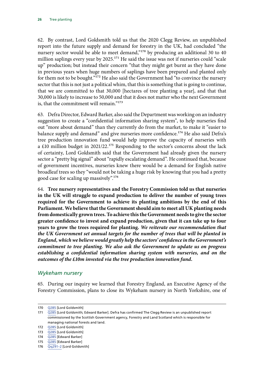62. By contrast, Lord Goldsmith told us that the 2020 Clegg Review, an unpublished report into the future supply and demand for forestry in the UK, had concluded "the nursery sector would be able to meet demand,"<sup>170</sup> by producing an additional 30 to 40 million saplings every year by 2025.<sup>171</sup> He said the issue was not if nurseries could "scale up" production; but instead their concern "that they might get burnt as they have done in previous years when huge numbers of saplings have been prepared and planted only for them not to be bought."<sup>172</sup> He also said the Government had "to convince the nursery sector that this is not just a political whim, that this is something that is going to continue, that we are committed to that 30,000 [hectares of tree planting a year], and that that 30,000 is likely to increase to 50,000 and that it does not matter who the next Government is, that the commitment will remain."173

63. Defra Director, Edward Barker, also said the Department was working on an industry suggestion to create a "confidential information sharing system", to help nurseries find out "more about demand" than they currently do from the market, to make it "easier to balance supply and demand" and give nurseries more confidence.<sup>174</sup> He also said Defra's tree production innovation fund would help improve the capacity of nurseries with a £10 million budget in 2021/22.<sup>175</sup> Responding to the sector's concerns about the lack of certainty, Lord Goldsmith said that the Government had already given the nursery sector a "pretty big signal" about "rapidly escalating demand". He continued that, because of government incentives, nurseries knew there would be a demand for English native broadleaf trees so they "would not be taking a huge risk by knowing that you had a pretty good case for scaling up massively".176

64. **Tree nursery representatives and the Forestry Commission told us that nurseries in the UK will struggle to expand production to deliver the number of young trees required for the Government to achieve its planting ambitions by the end of this Parliament. We believe that the Government should aim to meet all UK planting needs from domestically grown trees. To achieve this the Government needs to give the sector greater confidence to invest and expand production, given that it can take up to four years to grow the trees required for planting.** *We reiterate our recommendation that the UK Government set annual targets for the number of trees that will be planted in England, which we believe would greatly help the sectors' confidence in the Government's commitment to tree planting. We also ask the Government to update us on progress establishing a confidential information sharing system with nurseries, and on the outcomes of the £10m invested via the tree production innovation fund.*

#### *Wykeham nursery*

65. During our inquiry we learned that Forestry England, an Executive Agency of the Forestry Commission, plans to close its Wykeham nursery in North Yorkshire, one of

<sup>170</sup> [Q285](https://committees.parliament.uk/oralevidence/3074/html/) [Lord Goldsmith]

<sup>171</sup> [Q285](https://committees.parliament.uk/oralevidence/3074/html/) [Lord Goldsmith; Edward Barker]. Defra has confirmed The Clegg Review is an unpublished report commissioned by the Scottish Government agency, Forestry and Land Scotland which is responsible for managing national forests and land.

<sup>172</sup> [Q285](https://committees.parliament.uk/oralevidence/3074/html/) [Lord Goldsmith]

<sup>173</sup> [Q285](https://committees.parliament.uk/oralevidence/3074/html/) [Lord Goldsmith]

<sup>174</sup> [Q285](https://committees.parliament.uk/oralevidence/3074/html/) [Edward Barker]

<sup>175</sup> [Q285](https://committees.parliament.uk/oralevidence/3074/html/) [Edward Barker]

<sup>176</sup> Qq291-2 [Lord Goldsmith]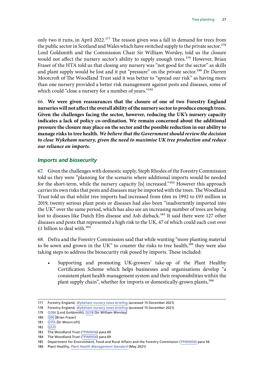<span id="page-27-0"></span>only two it runs, in April 2022.<sup>177</sup> The reason given was a fall in demand for trees from the public sector in Scotland and Wales which have switched supply to the private sector.<sup>178</sup> Lord Goldsmith and the Commission Chair Sir William Worsley, told us the closure would not affect the nursery sector's ability to supply enough trees.<sup>179</sup> However, Brian Fraser of the HTA told us that closing any nursery was "not good for the sector" as skills and plant supply would be lost and it put "pressure" on the private sector.<sup>180</sup> Dr Darren Moorcroft of The Woodland Trust said it was better to "spread our risk" as having more than one nursery provided a better risk management against pests and diseases, some of which could "close a nursery for a number of years."<sup>181</sup>

66. **We were given reassurances that the closure of one of two Forestry England nurseries will not affect the overall ability of the nursery sector to produce enough trees. Given the challenges facing the sector, however, reducing the UK's nursery capacity indicates a lack of policy co-ordination. We remain concerned about the additional pressure the closure may place on the sector and the possible reduction in our ability to manage risks to tree health.** *We believe that the Government should review the decision to close Wykeham nursery, given the need to maximise UK tree production and reduce our reliance on imports.*

#### *Imports and biosecurity*

67. Given the challenges with domestic supply, Steph Rhodes of the Forestry Commission told us they were "planning for the scenario where additional imports would be needed for the short-term, while the nursery capacity [is] increased."<sup>182</sup> However this approach carries its own risks that pests and diseases may be imported with the trees. The Woodland Trust told us that whilst tree imports had increased from £6m in 1992 to £93 million in 2019, twenty serious plant pests or diseases had also been "inadvertently imported into the UK" over the same period, which has also see an increasing number of trees are being lost to diseases like Dutch Elm disease and Ash dieback.<sup>183</sup> It said there were 127 other diseases and pests that represented a high risk to the UK, 47 of which could each cost over £1 billion to deal with.184

68. Defra and the Forestry Commission said that while wanting "more planting material to be sown and grown in the UK" to counter the risks to tree health, $185$  they were also taking steps to address the biosecurity risk posed by imports. These included:

• Supporting and promoting UK-growers' take-up of the Plant Healthy Certification Scheme which helps businesses and organisations develop "a consistent plant health management system and their responsibilities within the plant supply chain", whether for imports or domestically-grown plants,<sup>186</sup>

<sup>177</sup> Forestry England, *[Wykeham nursery news briefing](https://www.forestryengland.uk/news/wykeham-nursery-news-briefing)* (accessed 15 December 2021)

<sup>178</sup> Forestry England, *[Wykeham nursery news briefing](https://www.forestryengland.uk/news/wykeham-nursery-news-briefing)* (accessed 15 December 2021)

<sup>179</sup> [Q286](https://committees.parliament.uk/oralevidence/3074/html/) [Lord Goldsmith]; [Q228](https://committees.parliament.uk/oralevidence/2719/html/) [Sir William Worsley]

<sup>180</sup> [Q90](https://committees.parliament.uk/oralevidence/2366/html/) [Brian Fraser]

<sup>181</sup> [Q155](https://committees.parliament.uk/oralevidence/2557/html/) [Dr Moorcroft]

<sup>182</sup> [Q225](https://committees.parliament.uk/oralevidence/2719/html/)

<sup>183</sup> The Woodland Trust ([TPW0056\)](https://committees.parliament.uk/writtenevidence/18470/pdf/) para 69

<sup>184</sup> The Woodland Trust ([TPW0056\)](https://committees.parliament.uk/writtenevidence/18470/pdf/) para 69

<sup>185</sup> Department for Environment, Food and Rural Affairs and the Forestry Commission ([TPW0050\)](https://committees.parliament.uk/writtenevidence/18397/pdf/) para 56

<sup>186</sup> Plant Healthy, *[Plant Health Management Standard](https://planthealthy.org.uk/resources/plant-health-management-standard-1-1)* (May 2021)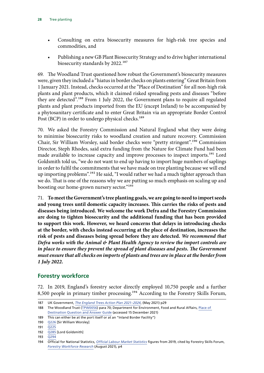- <span id="page-28-0"></span>• Consulting on extra biosecurity measures for high-risk tree species and commodities, and
- Publishing a new GB Plant Biosecurity Strategy and to drive higher international biosecurity standards by 2022.187

69. The Woodland Trust questioned how robust the Government's biosecurity measures were, given they included a "hiatus in border checks on plants entering" Great Britain from 1 January 2021. Instead, checks occurred at the "Place of Destination" for all non-high risk plants and plant products, which it claimed risked spreading pests and diseases "before they are detected".188 From 1 July 2022, the Government plans to require all regulated plants and plant products imported from the EU (except Ireland) to be accompanied by a phytosanitary certificate and to enter Great Britain via an appropriate Border Control Post (BCP) in order to undergo physical checks.<sup>189</sup>

70. We asked the Forestry Commission and Natural England what they were doing to minimise biosecurity risks to woodland creation and nature recovery. Commission Chair, Sir William Worsley, said border checks were "pretty stringent".190 Commission Director, Steph Rhodes, said extra funding from the Nature for Climate Fund had been made available to increase capacity and improve processes to inspect imports.<sup>191</sup> Lord Goldsmith told us, "we do not want to end up having to import huge numbers of saplings in order to fulfil the commitments that we have made on tree planting because we will end up importing problems".<sup>192</sup> He said, "I would rather we had a much tighter approach than we do. That is one of the reasons why we are putting so much emphasis on scaling up and boosting our home-grown nursery sector."193

71. **To meet the Government's tree planting goals, we are going to need to import seeds and young trees until domestic capacity increases. This carries the risks of pests and diseases being introduced. We welcome the work Defra and the Forestry Commission are doing to tighten biosecurity and the additional funding that has been provided to support this work. However, we heard concerns that delays in introducing checks at the border, with checks instead occurring at the place of destination, increases the risk of pests and diseases being spread before they are detected.** *We recommend that Defra works with the Animal & Plant Health Agency to review the import controls are in place to ensure they prevent the spread of plant diseases and pests. The Government must ensure that all checks on imports of plants and trees are in place at the border from 1 July 2022.*

### **Forestry workforce**

72. In 2019, England's forestry sector directly employed 10,750 people and a further 8,500 people in primary timber processing.194 According to the Forestry Skills Forum,

<sup>187</sup> UK Government, *[The England Trees Action Plan 2021–2024](https://assets.publishing.service.gov.uk/government/uploads/system/uploads/attachment_data/file/987061/england-trees-action-plan.pdf)*, (May 2021) p29

<sup>188</sup> The Woodland Trust ([TPW0056\)](https://committees.parliament.uk/writtenevidence/18470/pdf/) para 70; Department for Environment, Food and Rural Affairs, [Place of](https://planthealthportal.defra.gov.uk/eu-exit-guidance/imports/eu-goods-requiring-a-pc-and-pre-notification-in-2021-and-2022)  [Destination Question and Answer Guide](https://planthealthportal.defra.gov.uk/eu-exit-guidance/imports/eu-goods-requiring-a-pc-and-pre-notification-in-2021-and-2022) (accessed 15 December 2021)

<sup>189</sup> This can either be at the port itself or at an "Inland Border Facility")

<sup>190</sup> [Q226](https://committees.parliament.uk/oralevidence/2719/html/) [Sir William Worsley]

<sup>191</sup> [Q225](https://committees.parliament.uk/oralevidence/2719/html/)

<sup>192</sup> [Q285](https://committees.parliament.uk/oralevidence/3074/html/) [Lord Goldsmith]

<sup>193</sup> [Q294](https://committees.parliament.uk/oralevidence/3074/html/)

<sup>194</sup> Official for National Statistics, *[Official Labour Market Statistics](https://www.nomisweb.co.uk/)* figures from 2019, cited by Forestry Skills Forum, *[Forestry Workforce Research](https://www.lantra.co.uk/sites/default/files/2021-08/Forestry%20Workforce%20Research%20Final%20Report%2013.08.21.pdf)* (August 2021), p4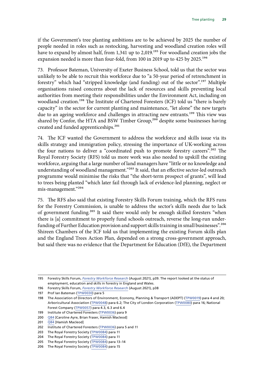if the Government's tree planting ambitions are to be achieved by 2025 the number of people needed in roles such as restocking, harvesting and woodland creation roles will have to expand by almost half, from 1,341 up to 2,019.<sup>195</sup> For woodland creation jobs the expansion needed is more than four-fold, from 100 in 2019 up to 425 by 2025.<sup>196</sup>

73. Professor Bateman, University of Exeter Business School, told us that the sector was unlikely to be able to recruit this workforce due to "a 50-year period of retrenchment in forestry" which had "stripped knowledge (and funding) out of the sector".<sup>197</sup> Multiple organisations raised concerns about the lack of resources and skills preventing local authorities from meeting their responsibilities under the Environment Act, including on woodland creation.<sup>198</sup> The Institute of Chartered Foresters (ICF) told us "there is barely capacity" in the sector for current planting and maintenance, "let alone" the new targets due to an ageing workforce and challenges in attracting new entrants.<sup>199</sup> This view was shared by Confor, the HTA and BSW Timber Group,<sup>200</sup> despite some businesses having created and funded apprenticeships.<sup>201</sup>

74. The ICF wanted the Government to address the workforce and skills issue via its skills strategy and immigration policy, stressing the importance of UK-working across the four nations to deliver a "coordinated push to promote forestry careers".202 The Royal Forestry Society (RFS) told us more work was also needed to upskill the existing workforce, arguing that a large number of land managers have "little or no knowledge and understanding of woodland management."<sup>203</sup> It said, that an effective sector-led outreach programme would minimise the risks that "the short-term prospect of grants", will lead to trees being planted "which later fail through lack of evidence-led planning, neglect or mis-management."204

75. The RFS also said that existing Forestry Skills Forum training, which the RFS runs for the Forestry Commission, is unable to address the sector's skills needs due to lack of government funding.205 It said there would only be enough skilled foresters "when there is [a] commitment to properly fund schools outreach, reverse the long-run underfunding of Further Education provision and support skills training in small businesses".206 Shireen Chambers of the ICF told us that implementing the existing Forum skills plan and the England Trees Action Plan, depended on a strong cross-government approach, but said there was no evidence that the Department for Education (DfE), the Department

<sup>195</sup> Forestry Skills Forum, *[Forestry Workforce Research](https://www.lantra.co.uk/sites/default/files/2021-08/Forestry%20Workforce%20Research%20Final%20Report%2013.08.21.pdf)* (August 2021), p39. The report looked at the status of employment, education and skills in forestry in England and Wales.

<sup>196</sup> Forestry Skills Forum, *[Forestry Workforce Research](https://www.lantra.co.uk/sites/default/files/2021-08/Forestry%20Workforce%20Research%20Final%20Report%2013.08.21.pdf)* (August 2021), p38

<sup>197</sup> Prof Ian Bateman ([TPW0030](https://committees.parliament.uk/writtenevidence/15632/pdf/)) para 5

<sup>198</sup> The Association of Directors of Environment, Economy, Planning & Transport (ADEPT) ([TPW0019](https://committees.parliament.uk/writtenevidence/15007/pdf/)) para 4 and 20; Arboricultural Association ([TPW0048](https://committees.parliament.uk/writtenevidence/18327/pdf/)) para 6.2; The City of London Corporation ([TPW0080\)](https://committees.parliament.uk/writtenevidence/19022/pdf/) para 16; National Forest Company ([TPW0057](https://committees.parliament.uk/writtenevidence/18483/pdf/)) para 4.3, 6.3 and 6.4

<sup>199</sup> Institute of Chartered Foresters ([TPW0036\)](https://committees.parliament.uk/writtenevidence/16089/pdf/) para 9

<sup>200</sup> [Q84](https://committees.parliament.uk/oralevidence/2366/html/) [Caroline Ayre, Brian Fraser, Hamish Macleod]

<sup>201</sup> [Q84](https://committees.parliament.uk/oralevidence/2366/html/) [Hamish Macleod]

<sup>202</sup> Institute of Chartered Foresters ([TPW0036\)](https://committees.parliament.uk/writtenevidence/16089/pdf/) para 5 and 11

<sup>203</sup> The Royal Forestry Society ([TPW0084](https://committees.parliament.uk/writtenevidence/23607/default/)) para 11

<sup>204</sup> The Royal Forestry Society ([TPW0084](https://committees.parliament.uk/writtenevidence/23607/default/)) para 11

<sup>205</sup> The Royal Forestry Society ([TPW0084](https://committees.parliament.uk/writtenevidence/23607/default/)) para 13–14

<sup>206</sup> The Royal Forestry Society ([TPW0084](https://committees.parliament.uk/writtenevidence/23607/default/)) para 15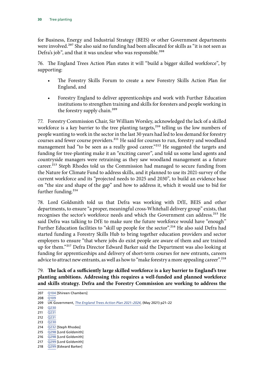for Business, Energy and Industrial Strategy (BEIS) or other Government departments were involved.<sup>207</sup> She also said no funding had been allocated for skills as "it is not seen as Defra's job", and that it was unclear who was responsible.<sup>208</sup>

76. The England Trees Action Plan states it will "build a bigger skilled workforce", by supporting:

- The Forestry Skills Forum to create a new Forestry Skills Action Plan for England, and
- Forestry England to deliver apprenticeships and work with Further Education institutions to strengthen training and skills for foresters and people working in the forestry supply chain.209

77. Forestry Commission Chair, Sir William Worsley, acknowledged the lack of a skilled workforce is a key barrier to the tree planting targets,<sup>210</sup> telling us the low numbers of people wanting to work in the sector in the last 30 years had led to less demand for forestry courses and fewer course providers.<sup>211</sup> He said for courses to run, forestry and woodland management had "to be seen as a really good career."<sup>212</sup> He suggested the targets and funding for tree-planting make it an "exciting career", and told us some land agents and countryside managers were retraining as they saw woodland management as a future career.<sup>213</sup> Steph Rhodes told us the Commission had managed to secure funding from the Nature for Climate Fund to address skills, and it planned to use its 2021-survey of the current workforce and its "projected needs to 2025 and 2030", to build an evidence base on "the size and shape of the gap" and how to address it, which it would use to bid for further funding.<sup>214</sup>

78. Lord Goldsmith told us that Defra was working with DfE, BEIS and other departments, to ensure "a proper, meaningful cross-Whitehall delivery group" exists, that recognises the sector's workforce needs and which the Government can address.<sup>215</sup> He said Defra was talking to DfE to make sure the future workforce would have "enough" Further Education facilities to "skill up people for the sector".<sup>216</sup> He also said Defra had started funding a Forestry Skills Hub to bring together education providers and sector employers to ensure "that where jobs do exist people are aware of them and are trained up for them."217 Defra Director Edward Barker said the Department was also looking at funding for apprenticeships and delivery of short-term courses for new entrants, careers advice to attract new entrants, as well as how to "make forestry a more appealing career".<sup>218</sup>

79. **The lack of a sufficiently large skilled workforce is a key barrier to England's tree planting ambitions. Addressing this requires a well-funded and planned workforce and skills strategy. Defra and the Forestry Commission are working to address the** 

<sup>207</sup> [Q104](https://committees.parliament.uk/oralevidence/2366/html/) [Shireen Chambers] 208 [Q109](https://committees.parliament.uk/oralevidence/2366/html/) 209 UK Government, *[The England Trees Action Plan 2021–2024](https://assets.publishing.service.gov.uk/government/uploads/system/uploads/attachment_data/file/987061/england-trees-action-plan.pdf)*, (May 2021) p21–22 210 [Q230](https://committees.parliament.uk/oralevidence/2719/html/) 211 [Q231](https://committees.parliament.uk/oralevidence/2719/html/)  $212 \quad \overline{O231}$ 213 [Q230](https://committees.parliament.uk/oralevidence/2719/html/) 214 [Q232](https://committees.parliament.uk/oralevidence/2719/html/) [Steph Rhodes] 215 [Q298](https://committees.parliament.uk/oralevidence/3074/pdf/) [Lord Goldsmith] 216 [Q298](https://committees.parliament.uk/oralevidence/3074/pdf/) [Lord Goldsmith] 217 [Q299](https://committees.parliament.uk/oralevidence/3074/pdf/) [Lord Goldsmith]

<sup>218</sup> [Q299](https://committees.parliament.uk/oralevidence/3074/pdf/) [Edward Barker]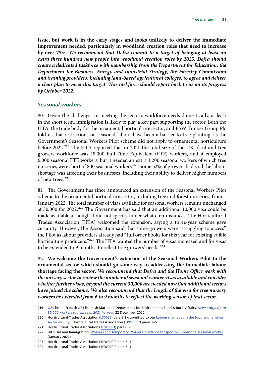<span id="page-31-0"></span>**issue, but work is in the early stages and looks unlikely to deliver the immediate improvement needed, particularly in woodland creation roles that need to increase by over 75%.** *We recommend that Defra commit to a target of bringing at least an extra three hundred new people into woodland creation roles by 2025. Defra should create a dedicated taskforce with membership from the Department for Education, the Department for Business, Energy and Industrial Strategy, the Forestry Commission and training providers, including land-based agricultural colleges, to agree and deliver a clear plan to meet this target. This taskforce should report back to us on its progress by October 2022.*

#### *Seasonal workers*

80. Given the challenges in meeting the sector's workforce needs domestically, at least in the short term, immigration is likely to play a key part supporting the sector. Both the HTA, the trade body for the ornamental horticulture sector, and BSW Timber Group Plc told us that restrictions on seasonal labour have been a barrier to tree planting, as the Government's Seasonal Workers Pilot scheme did not apply to ornamental horticulture before 2022.<sup>219</sup> The HTA reported that in 2021 the total size of the UK plant and tree growers workforce was 18,000 Full-Time Equivalent (FTE) workers, and it employed 6,000 seasonal FTE workers; but it needed an extra 1,200 seasonal workers of which tree nurseries were short of 800 seasonal workers.<sup>220</sup> Some 52% of growers had said the labour shortage was affecting their businesses, including their ability to deliver higher numbers of new trees $221$ 

81. The Government has since announced an extension of the Seasonal Workers Pilot scheme to the ornamental horticulture sector, including tree and forest nurseries, from 1 January 2022. The total number of visas available for seasonal workers remains unchanged at 30,000 for 2022.<sup>222</sup> The Government has said that an additional 10,000 visa could be made available although it did not specify under what circumstances. The Horticultural Trades Association (HTA) welcomed the extension, saying a three-year scheme gave certainty. However, the Association said that some growers were "struggling to access" the Pilot as labour providers already had "full order books for this year for existing edible horticulture producers."<sup>223</sup> The HTA wanted the number of visas increased and for visas to be extended to 9 months, to reflect tree growers' needs.<sup>224</sup>

82. **We welcome the Government's extension of the Seasonal Workers Pilot to the ornamental sector which should go some way to addressing the immediate labour shortage facing the sector.** *We recommend that Defra and the Home Office work with the nursery sector to review the number of seasonal worker visas available and consider whether further visas, beyond the current 30,000 are needed now that additional sectors have joined the scheme. We also recommend that the length of the visa for tree nursery workers be extended from 6 to 9 months to reflect the working season of that sector.*

221 Horticultural Trades Association ([TPW0091\)](https://committees.parliament.uk/writtenevidence/41256/pdf/) paras 3-5

<sup>219</sup> [Q80](https://committees.parliament.uk/oralevidence/2366/html/) [Brian Fraser]; [Q81](https://committees.parliament.uk/oralevidence/2366/html/) [Hamish Macleod]; Department for Environment, Food & Rural Affairs, *[News story: Up to](https://www.gov.uk/government/news/up-to-30000-workers-to-help-reap-2021-harvest)  [30,000 workers to help reap 2021 harvest](https://www.gov.uk/government/news/up-to-30000-workers-to-help-reap-2021-harvest)*, 22 December 2020

<sup>220</sup> Horticultural Trades Association (LS0025) para 5.2 (submitted to our Labour shortages in the food and farming [sector inquiry\)](https://committees.parliament.uk/work/1497/labour-shortages-in-the-food-and-farming-sector/publications/); Horticultural Trades Association [\(TPW0091\)](https://committees.parliament.uk/writtenevidence/41256/pdf/) paras 3-5

<sup>222</sup> UK Visas and Immigration, [Workers and Temporary Workers: guidance for sponsors: sponsor a seasonal worker](https://www.gov.uk/government/publications/workers-and-temporary-workers-guidance-for-sponsors-sponsor-a-seasonal-worker/workers-and-temporary-workers-guidance-for-sponsors-sponsor-a-seasonal-worker-accessible-version) (January 2022)

<sup>223</sup> Horticultural Trades Association (TPW0094) para 3–5

<sup>224</sup> Horticultural Trades Association (TPW0094) para 3–5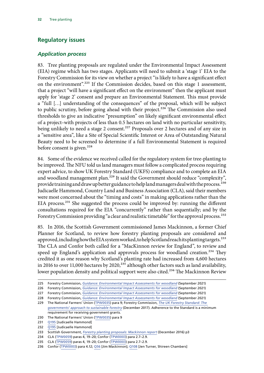## <span id="page-32-0"></span>**Regulatory issues**

#### *Application process*

83. Tree planting proposals are regulated under the Environmental Impact Assessment (EIA) regime which has two stages. Applicants will need to submit a 'stage 1' EIA to the Forestry Commission for its view on whether a project "is likely to have a significant effect on the environment".<sup>225</sup> If the Commission decides, based on this stage 1 assessment, that a project "will have a significant effect on the environment" then the applicant must apply for 'stage 2' consent and prepare an Environmental Statement. This must provide a "full […] understanding of the consequences" of the proposal, which will be subject to public scrutiny, before going ahead with their project.<sup>226</sup> The Commission also used thresholds to give an indicative "presumption" on likely significant environmental effect of a project–with projects of less than 0.5 hectares on land with no particular sensitivity, being unlikely to need a stage 2 consent.<sup>227</sup> Proposals over 2 hectares and of any size in a "sensitive area", like a Site of Special Scientific Interest or Area of Outstanding Natural Beauty need to be screened to determine if a full Environmental Statement is required before consent is given.<sup>228</sup>

84. Some of the evidence we received called for the regulatory system for tree-planting to be improved. The NFU told us land managers must follow a complicated process requiring expert advice, to show UK Forestry Standard (UKFS) compliance and to complete an EIA and woodland management plan.<sup>229</sup> It said the Government should reduce "complexity", provide training and draw up better guidance to help land managers deal with the process.<sup>230</sup> Judicaelle Hammond, Country Land and Business Association (CLA), said their members were most concerned about the "timing and costs" in making applications rather than the EIA process.231 She suggested the process could be improved by: running the different consultations required for the EIA "concurrently" rather than sequentially; and by the Forestry Commission providing "a clear and realistic timetable" for the approval process.<sup>232</sup>

85. In 2016, the Scottish Government commissioned James Mackinnon, a former Chief Planner for Scotland, to review how forestry planting proposals are considered and approved, including how the EIA system worked, to help Scotland reach its planting targets.<sup>233</sup> The CLA and Confor both called for a "MacKinnon review for England", to review and speed up England's application and approvals process for woodland creation.<sup>234</sup> They credited it as one reason why Scotland's planting rate had increased from 4,600 hectares in 2016 to over 11,000 hectares by 2020, $^{235}$  although other factors such as land availability, lower population density and political support were also cited.<sup>236</sup> The Mackinnon Review

- 230 The National Farmers' Union ([TPW0035](https://committees.parliament.uk/writtenevidence/16081/pdf/)) para 9
- 231 O195 [Judicaelle Hammond]
- 232 [Q195](https://committees.parliament.uk/oralevidence/2717/html/) [Judicaelle Hammond]

- 234 CLA ([TPW0059\)](https://committees.parliament.uk/writtenevidence/18544/pdf/) paras 4, 19–20; Confor ([TPW0003\)](https://committees.parliament.uk/writtenevidence/12906/pdf/) para 2.7–2.9.
- 235 CLA ([TPW0059\)](https://committees.parliament.uk/writtenevidence/18544/pdf/) paras 4, 19–20; Confor ([TPW0003\)](https://committees.parliament.uk/writtenevidence/12906/pdf/) para 2.7–2.9.

<sup>225</sup> Forestry Commission, *[Guidance: Environmental Impact Assessments for woodland](https://www.gov.uk/guidance/environmental-impact-assessments-for-woodland)* (September 2021)

<sup>226</sup> Forestry Commission, *[Guidance: Environmental Impact Assessments for woodland](https://www.gov.uk/guidance/environmental-impact-assessments-for-woodland)* (September 2021)

<sup>227</sup> Forestry Commission, *[Guidance: Environmental Impact Assessments for woodland](https://www.gov.uk/guidance/environmental-impact-assessments-for-woodland)* (September 2021)

<sup>228</sup> Forestry Commission, *[Guidance: Environmental Impact Assessments for woodland](https://www.gov.uk/guidance/environmental-impact-assessments-for-woodland)* (September 2021)

<sup>229</sup> The National Farmers' Union ([TPW0035](https://committees.parliament.uk/writtenevidence/16081/pdf/)) para 9; Forestry Commission, *[The UK Forestry Standard: The](https://assets.publishing.service.gov.uk/government/uploads/system/uploads/attachment_data/file/687147/The_UK_Forestry_Standard.pdf)  [governments' approach to sustainable forestry](https://assets.publishing.service.gov.uk/government/uploads/system/uploads/attachment_data/file/687147/The_UK_Forestry_Standard.pdf)* (December 2017). Adherence to the Standard is a minimum requirement for receiving government grants.

<sup>233</sup> Scottish Government, *[Forestry planting proposals: Mackinnon report](https://www.gov.scot/publications/mackinnon-report/)* (December 2016) p3

<sup>236</sup> Confor ([TPW0003](https://committees.parliament.uk/writtenevidence/12906/pdf/)) para 4.12; [Q56](https://committees.parliament.uk/oralevidence/1851/pdf/) [Jim Mackinnon]; [Q108](https://committees.parliament.uk/oralevidence/2366/pdf/) [Jen Turner, Shireen Chambers]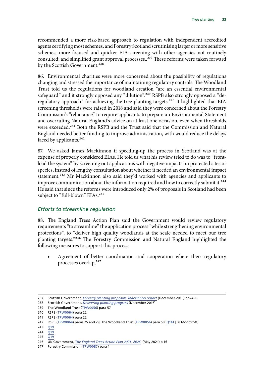recommended a more risk-based approach to regulation with independent accredited agents certifying most schemes, and Forestry Scotland scrutinising larger or more sensitive schemes; more focused and quicker EIA-screening with other agencies not routinely consulted; and simplified grant approval processes..<sup>237</sup> These reforms were taken forward by the Scottish Government.<sup>238</sup>

86. Environmental charities were more concerned about the possibility of regulations changing and stressed the importance of maintaining regulatory controls. The Woodland Trust told us the regulations for woodland creation "are an essential environmental safeguard" and it strongly opposed any "dilution".<sup>239</sup> RSPB also strongly opposed a "deregulatory approach" for achieving the tree planting targets.<sup>240</sup> It highlighted that EIA screening thresholds were raised in 2018 and said they were concerned about the Forestry Commission's "reluctance" to require applicants to prepare an Environmental Statement and overruling Natural England's advice on at least one occasion, even when thresholds were exceeded.<sup>241</sup> Both the RSPB and the Trust said that the Commission and Natural England needed better funding to improve administration, with would reduce the delays faced by applicants. $242$ 

87. We asked James Mackinnon if speeding-up the process in Scotland was at the expense of properly considered EIAs. He told us what his review tried to do was to "frontload the system" by screening out applications with negative impacts on protected sites or species, instead of lengthy consultation about whether it needed an environmental impact statement.<sup>243</sup> Mr Mackinnon also said they'd worked with agencies and applicants to improve communication about the information required and how to correctly submit it.<sup>244</sup> He said that since the reforms were introduced only 2% of proposals in Scotland had been subject to "full-blown" EIAs.<sup>245</sup>

#### *Efforts to streamline regulation*

88. The England Trees Action Plan said the Government would review regulatory requirements "to streamline" the application process "while strengthening environmental protections", to "deliver high quality woodlands at the scale needed to meet our tree planting targets."246 The Forestry Commission and Natural England highlighted the following measures to support this process:

Agreement of better coordination and cooperation where their regulatory processes overlap,<sup>247</sup>

<sup>237</sup> Scottish Government, *[Forestry planting proposals: Mackinnon report](https://www.gov.scot/publications/mackinnon-report/)* (December 2016) pp24–6

<sup>238</sup> Scottish Government, *[Delivering planting progress](https://www.gov.scot/news/delivering-planting-progress/)* (December 2016)

<sup>239</sup> The Woodland Trust ([TPW0056\)](https://committees.parliament.uk/writtenevidence/18470/pdf/) para 57

<sup>240</sup> RSPB ([TPW0064](https://committees.parliament.uk/writtenevidence/18581/pdf/)) para 22

<sup>241</sup> RSPB ([TPW0064](https://committees.parliament.uk/writtenevidence/18581/pdf/)) para 22

<sup>242</sup> RSPB ([TPW0064](https://committees.parliament.uk/writtenevidence/18581/pdf/)) paras 25 and 29; The Woodland Trust ([TPW0056](https://committees.parliament.uk/writtenevidence/18470/pdf/)) para 58; [Q141](https://committees.parliament.uk/oralevidence/2557/html/) [Dr Moorcroft]

<sup>243</sup> [Q19](https://committees.parliament.uk/oralevidence/1851/pdf/)

 $244 \overline{019}$ 

<sup>245</sup> [Q19](https://committees.parliament.uk/oralevidence/1851/pdf/)

<sup>246</sup> UK Government, *[The England Trees Action Plan 2021–2024](https://assets.publishing.service.gov.uk/government/uploads/system/uploads/attachment_data/file/987061/england-trees-action-plan.pdf)*, (May 2021) p 16

<sup>247</sup> Forestry Commission ([TPW0087\)](https://committees.parliament.uk/writtenevidence/39496/pdf/) para 1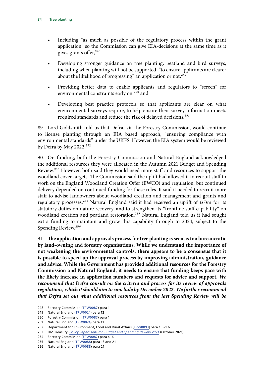- Including "as much as possible of the regulatory process within the grant application" so the Commission can give EIA-decisions at the same time as it gives grants offer,<sup>248</sup>
- Developing stronger guidance on tree planting, peatland and bird surveys, including when planting will not be supported, "to ensure applicants are clearer about the likelihood of progressing" an application or not,  $249$
- Providing better data to enable applicants and regulators to "screen" for environmental constraints early on,<sup>250</sup> and
- Developing best practice protocols so that applicants are clear on what environmental surveys require, to help ensure their survey information meets required standards and reduce the risk of delayed decisions.251

89. Lord Goldsmith told us that Defra, via the Forestry Commission, would continue to license planting through an EIA based approach, "ensuring compliance with environmental standards" under the UKFS. However, the EIA system would be reviewed by Defra by May 2022.<sup>252</sup>

90. On funding, both the Forestry Commission and Natural England acknowledged the additional resources they were allocated in the Autumn 2021 Budget and Spending Review.<sup>253</sup> However, both said they would need more staff and resources to support the woodland cover targets. The Commission said the uplift had allowed it to recruit staff to work on the England Woodland Creation Offer (EWCO) and regulation; but continued delivery depended on continued funding for these roles. It said it needed to recruit more staff to advise landowners about woodland creation and management and grants and regulatory processes.254 Natural England said it had received an uplift of £63m for its statutory duties on nature recovery, and to strengthen its "frontline staff capability" on woodland creation and peatland restoration.<sup>255</sup> Natural England told us it had sought extra funding to maintain and grow this capability through to 2024, subject to the Spending Review.256

91. **The application and approvals process for tree planting is seen as too bureaucratic by land-owning and forestry organisations. While we understand the importance of not weakening the environmental controls, there appears to be a consensus that it is possible to speed up the approval process by improving administration, guidance and advice. While the Government has provided additional resources for the Forestry Commission and Natural England, it needs to ensure that funding keeps pace with the likely increase in application numbers and requests for advice and support.** *We recommend that Defra consult on the criteria and process for its review of approvals regulations, which it should aim to conclude by December 2022. We further recommend that Defra set out what additional resources from the last Spending Review will be* 

<sup>248</sup> Forestry Commission ([TPW0087\)](https://committees.parliament.uk/writtenevidence/39496/pdf/) para 1

<sup>249</sup> Natural England ([TPW0024](https://committees.parliament.uk/writtenevidence/15475/pdf/)) para 12

<sup>250</sup> Forestry Commission ([TPW0087\)](https://committees.parliament.uk/writtenevidence/39496/pdf/) para 1

<sup>251</sup> Natural England ([TPW0024](https://committees.parliament.uk/writtenevidence/15475/pdf/)) para 11

<sup>252</sup> Department for Environment, Food and Rural Affairs [[TPW0093](https://committees.parliament.uk/writtenevidence/41426/default/)] para 1.5–1.6

<sup>253</sup> HM Treasury, *[Policy Paper: Autumn Budget and Spending Review 2021](https://www.gov.uk/government/publications/autumn-budget-and-spending-review-2021-documents/autumn-budget-and-spending-review-2021-html)* (October 2021)

<sup>254</sup> Forestry Commission ([TPW0087\)](https://committees.parliament.uk/writtenevidence/39496/pdf/) para 4–6

<sup>255</sup> Natural England ([TPW0088\)](https://committees.parliament.uk/writtenevidence/39777/pdf/) para 13 and 21

<sup>256</sup> Natural England ([TPW0088\)](https://committees.parliament.uk/writtenevidence/39777/pdf/) para 21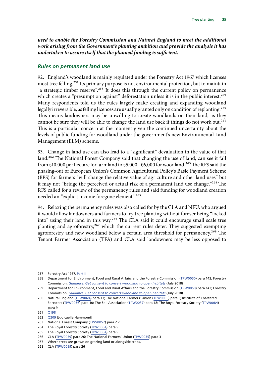<span id="page-35-0"></span>*used to enable the Forestry Commission and Natural England to meet the additional work arising from the Government's planting ambition and provide the analysis it has undertaken to assure itself that the planned funding is sufficient.*

#### *Rules on permanent land use*

92. England's woodland is mainly regulated under the Forestry Act 1967 which licenses most tree felling.<sup>257</sup> Its primary purpose is not environmental protection, but to maintain "a strategic timber reserve".<sup>258</sup> It does this through the current policy on permanence which creates a "presumption against" deforestation unless it is in the public interest.<sup>259</sup> Many respondents told us the rules largely make creating and expanding woodland legally irreversible, as felling licences are usually granted only on condition of replanting.<sup>260</sup> This means landowners may be unwilling to create woodlands on their land, as they cannot be sure they will be able to change the land use back if things do not work out.<sup>261</sup> This is a particular concern at the moment given the continued uncertainty about the levels of public funding for woodland under the government's new Environmental Land Management (ELM) scheme.

93. Change in land use can also lead to a "significant" devaluation in the value of that land.<sup>262</sup> The National Forest Company said that changing the use of land, can see it fall from £10,000 per hectare for farmland to £5,000 - £6,000 for woodland.<sup>263</sup> The RFS said the phasing-out of European Union's Common Agricultural Policy's Basic Payment Scheme (BPS) for farmers "will change the relative value of agriculture and other land uses" but it may not "bridge the perceived or actual risk of a permanent land use change."<sup>264</sup> The RFS called for a review of the permanency rules and said funding for woodland creation needed an "explicit income foregone element".<sup>265</sup>

94. Relaxing the permanency rules was also called for by the CLA and NFU, who argued it would allow landowners and farmers to try tree planting without forever being "locked into" using their land in this way.<sup>266</sup> The CLA said it could encourage small scale tree planting and agroforestry,<sup>267</sup> which the current rules deter. They suggested exempting agroforestry and new woodland below a certain area threshold for permanency.<sup>268</sup> The Tenant Farmer Association (TFA) and CLA said landowners may be less opposed to

<sup>257</sup> Forestry Act 1967, [Part II](https://www.legislation.gov.uk/ukpga/1967/10/contents)

<sup>258</sup> Department for Environment, Food and Rural Affairs and the Forestry Commission ([TPW0050](https://committees.parliament.uk/writtenevidence/18397/pdf/)) para 142; Forestry Commission, *[Guidance: Get consent to convert woodland to open habitats](https://www.gov.uk/guidance/get-consent-to-convert-woodland-to-open-habitats)* (July 2018)

<sup>259</sup> Department for Environment, Food and Rural Affairs and the Forestry Commission ([TPW0050](https://committees.parliament.uk/writtenevidence/18397/pdf/)) para 142; Forestry Commission, *[Guidance: Get consent to convert woodland to open habitats](https://www.gov.uk/guidance/get-consent-to-convert-woodland-to-open-habitats)* (July 2018)

<sup>260</sup> Natural England ([TPW0024](https://committees.parliament.uk/writtenevidence/15475/pdf/)) para 13; The National Farmers' Union ([TPW0035\)](https://committees.parliament.uk/writtenevidence/16081/pdf/) para 3; Institute of Chartered Foresters ([TPW0036\)](https://committees.parliament.uk/writtenevidence/16089/pdf/) para 10; The Soil Association ([TPW0037\)](https://committees.parliament.uk/writtenevidence/16098/pdf/) para 18; The Royal Forestry Society [\(TPW0084](https://committees.parliament.uk/writtenevidence/23607/default/)) para 9

<sup>261</sup> [Q198](https://committees.parliament.uk/oralevidence/2719/html/)

<sup>262</sup> [Q209](https://committees.parliament.uk/oralevidence/2719/html/) [Judicaelle Hammond]

<sup>263</sup> National Forest Company ([TPW0057\)](https://committees.parliament.uk/writtenevidence/18483/html/) para 2.7

<sup>264</sup> The Royal Forestry Society ([TPW0084](https://committees.parliament.uk/writtenevidence/23607/default/)) para 9

<sup>265</sup> The Royal Forestry Society ([TPW0084](https://committees.parliament.uk/writtenevidence/23607/default/)) para 9

<sup>266</sup> CLA ([TPW0059\)](https://committees.parliament.uk/writtenevidence/18544/pdf/) para 26; The National Farmers' Union ([TPW0035\)](https://committees.parliament.uk/writtenevidence/16081/pdf/) para 3

<sup>267</sup> Where trees are grown on grazing land or alongside crops.

<sup>268</sup> CLA ([TPW0059\)](https://committees.parliament.uk/writtenevidence/18544/pdf/) para 26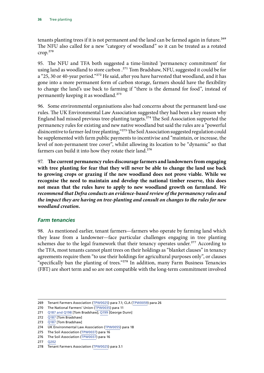<span id="page-36-0"></span>tenants planting trees if it is not permanent and the land can be farmed again in future.<sup>269</sup> The NFU also called for a new "category of woodland" so it can be treated as a rotated crop.270

95. The NFU and TFA both suggested a time-limited 'permanency commitment' for using land as woodland to store carbon .<sup>271</sup> Tom Bradshaw, NFU, suggested it could be for a "25, 30 or 40-year period."272 He said, after you have harvested that woodland, and it has gone into a more permanent form of carbon storage, farmers should have the flexibility to change the land's use back to farming if "there is the demand for food", instead of permanently keeping it as woodland.<sup>273</sup>

96. Some environmental organisations also had concerns about the permanent land-use rules. The UK Environmental Law Association suggested they had been a key reason why England had missed previous tree-planting targets.274 The Soil Association supported the permanency rules for existing and new native woodland but said the rules are a "powerful disincentive to farmer-led tree planting,"275 The Soil Association suggested regulation could be supplemented with farm public payments to incentivise and "maintain, or increase, the level of non-permanent tree cover", whilst allowing its location to be "dynamic" so that farmers can build it into how they rotate their land.<sup>276</sup>

97. **The current permanency rules discourage farmers and landowners from engaging with tree planting for fear that they will never be able to change the land use back to growing crops or grazing if the new woodland does not prove viable. While we recognise the need to maintain and develop the national timber reserve, this does not mean that the rules have to apply to new woodland growth on farmland.** *We recommend that Defra conducts an evidence-based review of the permanency rules and the impact they are having on tree-planting and consult on changes to the rules for new woodland creation.*

#### *Farm tenancies*

98. As mentioned earlier, tenant farmers—farmers who operate by farming land which they lease from a landowner—face particular challenges engaging in tree planting schemes due to the legal framework that their tenancy operates under.<sup>277</sup> According to the TFA, most tenants cannot plant trees on their holdings as "blanket clauses" in tenancy agreements require them "to use their holdings for agricultural purposes only", or clauses "specifically ban the planting of trees."278 In addition, many Farm Business Tenancies (FBT) are short term and so are not compatible with the long-term commitment involved

<sup>269</sup> Tenant Farmers Association [\(TPW0025](https://committees.parliament.uk/writtenevidence/15485/pdf/)) para 7.1; CLA [\(TPW0059](https://committees.parliament.uk/writtenevidence/18544/pdf/)) para 26

<sup>270</sup> The National Farmers' Union ([TPW0035](https://committees.parliament.uk/writtenevidence/16081/pdf/)) para 11

<sup>271</sup> [Q187 and Q198](https://committees.parliament.uk/oralevidence/2719/html/) [Tom Bradshaw]; [Q199](https://committees.parliament.uk/oralevidence/2719/html/) [George Dunn]

<sup>272</sup> [Q187](https://committees.parliament.uk/oralevidence/2719/html/) [Tom Bradshaw]

<sup>273</sup> [Q187](https://committees.parliament.uk/oralevidence/2719/html/) [Tom Bradshaw]

<sup>274</sup> UK Environmental Law Association ([TPW0055\)](https://committees.parliament.uk/writtenevidence/18458/pdf/) para 18

<sup>275</sup> The Soil Association ([TPW0037](https://committees.parliament.uk/writtenevidence/16098/pdf/)) para 16

<sup>276</sup> The Soil Association ([TPW0037](https://committees.parliament.uk/writtenevidence/16098/pdf/)) para 16

<sup>277</sup> [Q202](https://committees.parliament.uk/oralevidence/2719/html/)

<sup>278</sup> Tenant Farmers Association [\(TPW0025](https://committees.parliament.uk/writtenevidence/15485/pdf/)) para 3.1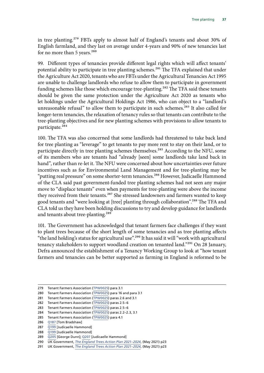in tree planting.279 FBTs apply to almost half of England's tenants and about 30% of English farmland, and they last on average under 4-years and 90% of new tenancies last for no more than 5 years. $280$ 

99. Different types of tenancies provide different legal rights which will affect tenants' potential ability to participate in tree planting schemes.<sup>281</sup> The TFA explained that under the Agriculture Act 2020, tenants who are FBTs under the Agricultural Tenancies Act 1995 are unable to challenge landlords who refuse to allow them to participate in government funding schemes like those which encourage tree-planting.<sup>282</sup> The TFA said these tenants should be given the same protection under the Agriculture Act 2020 as tenants who let holdings under the Agricultural Holdings Act 1986, who can object to a "landlord's unreasonable refusal" to allow them to participate in such schemes.<sup>283</sup> It also called for longer-term tenancies, the relaxation of tenancy rules so that tenants can contribute to the tree-planting objectives and for new planting schemes with provisions to allow tenants to participate.<sup>284</sup>

100. The TFA was also concerned that some landlords had threatened to take back land for tree planting as "leverage" to get tenants to pay more rent to stay on their land, or to participate directly in tree planting schemes themselves.<sup>285</sup> According to the NFU, some of its members who are tenants had "already [seen] some landlords take land back in hand", rather than re-let it. The NFU were concerned about how uncertainties over future incentives such as for Environmental Land Management and for tree-planting may be "putting real pressure" on some shorter-term tenancies.<sup>286</sup> However, Judicaelle Hammond of the CLA said past government-funded tree planting schemes had not seen any major move to "displace tenants" even when payments for tree-planting were above the income they received from their tenants.<sup>287</sup> She stressed landowners and farmers wanted to keep good tenants and "were looking at [tree] planting through collaboration".<sup>288</sup> The TFA and CLA told us they have been holding discussions to try and develop guidance for landlords and tenants about tree-planting.<sup>289</sup>

101. The Government has acknowledged that tenant farmers face challenges if they want to plant trees because of the short length of some tenancies and as tree planting affects "the land holding's status for agricultural use".<sup>290</sup> It has said it will "work with agricultural tenancy stakeholders to support woodland creation on tenanted land."<sup>291</sup> On 28 January, Defra announced the establishment of a Tenancy Working Group to look at "how tenant farmers and tenancies can be better supported as farming in England is reformed to be

<sup>279</sup> Tenant Farmers Association [\(TPW0025](https://committees.parliament.uk/writtenevidence/15485/pdf/)) para 3.1

<sup>280</sup> Tenant Farmers Association [\(TPW0025](https://committees.parliament.uk/writtenevidence/15485/pdf/)) para 16 and para 3.1

<sup>281</sup> Tenant Farmers Association [\(TPW0025](https://committees.parliament.uk/writtenevidence/15485/pdf/)) paras 2.6 and 3.1

<sup>282</sup> Tenant Farmers Association [\(TPW0025](https://committees.parliament.uk/writtenevidence/15485/pdf/)) paras 2.5–6

<sup>283</sup> Tenant Farmers Association [\(TPW0025](https://committees.parliament.uk/writtenevidence/15485/pdf/)) paras 2.5–6

<sup>284</sup> Tenant Farmers Association [\(TPW0025](https://committees.parliament.uk/writtenevidence/15485/pdf/)) paras 2.2–2.3, 3.1

<sup>285</sup> Tenant Farmers Association [\(TPW0025](https://committees.parliament.uk/writtenevidence/15485/pdf/)) para 4.1

<sup>286</sup> [Q187](https://committees.parliament.uk/oralevidence/2719/html/) [Tom Bradshaw]

<sup>287</sup> [Q199](https://committees.parliament.uk/oralevidence/2719/html/) [Judicaelle Hammond]

<sup>288</sup> [Q199](https://committees.parliament.uk/oralevidence/2719/html/) [Judicaelle Hammond]

<sup>289</sup> [Q205](https://committees.parliament.uk/oralevidence/2719/html/) [George Dunn]; [Q207](https://committees.parliament.uk/oralevidence/2719/html/) [Judicaelle Hammond]

<sup>290</sup> UK Government, *[The England Trees Action Plan 2021–2024](https://assets.publishing.service.gov.uk/government/uploads/system/uploads/attachment_data/file/987061/england-trees-action-plan.pdf)*, (May 2021) p23

<sup>291</sup> UK Government, *[The England Trees Action Plan 2021–2024](https://assets.publishing.service.gov.uk/government/uploads/system/uploads/attachment_data/file/987061/england-trees-action-plan.pdf)*, (May 2021) p23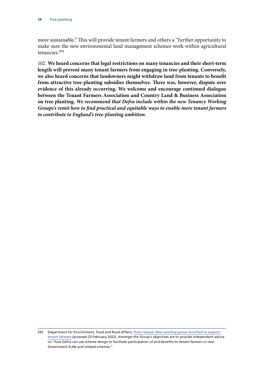more sustainable." This will provide tenant farmers and others a "further opportunity to make sure the new environmental land management schemes work within agricultural tenancies.292

102. **We heard concerns that legal restrictions on many tenancies and their short-term length will prevent many tenant farmers from engaging in tree-planting. Conversely, we also heard concerns that landowners might withdraw land from tenants to benefit from attractive tree-planting subsidies themselves. There was, however, dispute over evidence of this already occurring. We welcome and encourage continued dialogue between the Tenant Farmers Association and Country Land & Business Association on tree planting.** *We recommend that Defra include within the new Tenancy Working Groups's remit how to find practical and equitable ways to enable more tenant farmers to contribute to England's tree-planting ambition.*

<sup>292</sup> Department for Environment, Food and Rural Affairs, [Press release: New working group launched to support](https://www.gov.uk/government/news/new-working-group-launched-to-support-tenant-farmers)  [tenant farmers](https://www.gov.uk/government/news/new-working-group-launched-to-support-tenant-farmers) (accessed 23 February 2022). Amongst the Group's objectives are to provide independent advice on "how Defra can use scheme design to facilitate participation of and benefits to tenant farmers in new Government ELMs and related schemes."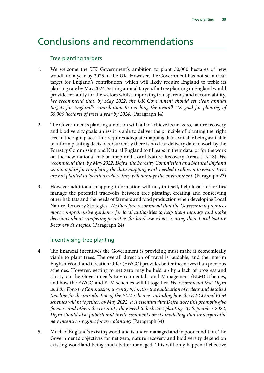## <span id="page-39-0"></span>Conclusions and recommendations

#### Tree planting targets

- 1. We welcome the UK Government's ambition to plant 30,000 hectares of new woodland a year by 2025 in the UK. However, the Government has not set a clear target for England's contribution, which will likely require England to treble its planting rate by May 2024. Setting annual targets for tree planting in England would provide certainty for the sectors whilst improving transparency and accountability. *We recommend that, by May 2022, the UK Government should set clear, annual targets for England's contribution to reaching the overall UK goal for planting of 30,000 hectares of trees a year by 2024*. (Paragraph 14)
- 2. The Government's planting ambition will fail to achieve its net zero, nature recovery and biodiversity goals unless it is able to deliver the principle of planting the 'right tree in the right place'. This requires adequate mapping data available being available to inform planting decisions. Currently there is no clear delivery date to work by the Forestry Commission and Natural England to fill gaps in their data, or for the work on the new national habitat map and Local Nature Recovery Areas (LNRS). *We recommend that, by May 2022, Defra, the Forestry Commission and Natural England set out a plan for completing the data mapping work needed to allow it to ensure trees are not planted in locations where they will damage the environment*. (Paragraph 23)
- 3. However additional mapping information will not, in itself, help local authorities manage the potential trade-offs between tree planting, creating and conserving other habitats and the needs of farmers and food production when developing Local Nature Recovery Strategies. *We therefore recommend that the Government produces more comprehensive guidance for local authorities to help them manage and make decisions about competing priorities for land use when creating their Local Nature Recovery Strategies*. (Paragraph 24)

### Incentivising tree planting

- 4. The financial incentives the Government is providing must make it economically viable to plant trees. The overall direction of travel is laudable, and the interim English Woodland Creation Offer (EWCO) provides better incentives than previous schemes. However, getting to net zero may be held up by a lack of progress and clarity on the Government's Environmental Land Management (ELM) schemes, and how the EWCO and ELM schemes will fit together. *We recommend that Defra and the Forestry Commission urgently prioritise the publication of a clear and detailed timeline for the introduction of the ELM schemes, including how the EWCO and ELM schemes will fit together, by May 2022. It is essential that Defra does this promptly give farmers and others the certainty they need to kickstart planting. By September 2022, Defra should also publish and invite comments on its modelling that underpins the new incentives regime for tree planting*. (Paragraph 34)
- 5. Much of England's existing woodland is under-managed and in poor condition. The Government's objectives for net zero, nature recovery and biodiversity depend on existing woodland being much better managed. This will only happen if effective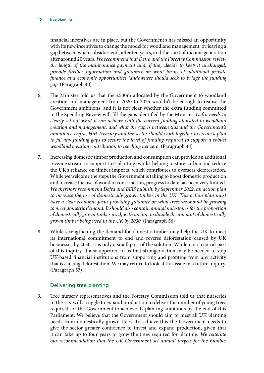financial incentives are in place, but the Government's has missed an opportunity with its new incentives to change the model for woodland management, by leaving a gap between when subsidies end, after ten years, and the start of income generation after around 20 years. *We recommend that Defra and the Forestry Commission review the length of the maintenance payment and, if they decide to keep it unchanged, provide further information and guidance on what forms of additional private finance and economic opportunities landowners should seek to bridge the funding gap*. (Paragraph 40)

- 6. The Minister told us that the £500m allocated by the Government to woodland creation and management from 2020 to 2025 wouldn't be enough to realise the Government ambitions, and it is not clear whether the extra funding committed in the Spending Review will fill the gaps identified by the Minister. *Defra needs to clearly set out what it can achieve with the current funding allocated to woodland creation and management, and what the gap is between this and the Government's ambitions. Defra, HM Treasury and the sector should work together to create a plan to fill any funding gaps to secure the level of funding required to support a robust woodland creation contribution to reaching net zero*. (Paragraph 44)
- 7. Increasing domestic timber production and consumption can provide an additional revenue stream to support tree-planting, whilst helping to store carbon and reduce the UK's reliance on timber imports, which contributes to overseas deforestation. While we welcome the steps the Government is taking to boost domestic production and increase the use of wood in construction, progress to date has been very limited. *We therefore recommend Defra and BEIS publish, by September 2022, an action plan to increase the use of domestically grown timber in the UK. This action plan must have a clear economic focus providing guidance on what trees we should be growing to meet domestic demand. It should also contain annual milestones for the proportion of domestically grown timber used, with an aim to double the amount of domestically grown timber being used in the UK by 2030.* (Paragraph 56)
- 8. While strengthening the demand for domestic timber may help the UK to meet its international commitment to end and reverse deforestation caused by UK businesses by 2030, it is only a small part of the solution. While not a central part of this inquiry, it also appeared to us that stronger action may be needed to stop UK-based financial institutions from supporting and profiting from any activity that is causing deforestation. We may return to look at this issue in a future inquiry. (Paragraph 57)

#### Delivering tree planting

9. Tree nursery representatives and the Forestry Commission told us that nurseries in the UK will struggle to expand production to deliver the number of young trees required for the Government to achieve its planting ambitions by the end of this Parliament. We believe that the Government should aim to meet all UK planting needs from domestically grown trees. To achieve this the Government needs to give the sector greater confidence to invest and expand production, given that it can take up to four years to grow the trees required for planting. *We reiterate our recommendation that the UK Government set annual targets for the number*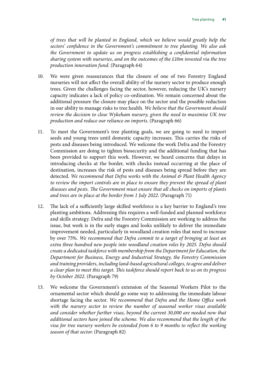*of trees that will be planted in England, which we believe would greatly help the sectors' confidence in the Government's commitment to tree planting. We also ask the Government to update us on progress establishing a confidential information sharing system with nurseries, and on the outcomes of the £10m invested via the tree production innovation fund*. (Paragraph 64)

- 10. We were given reassurances that the closure of one of two Forestry England nurseries will not affect the overall ability of the nursery sector to produce enough trees. Given the challenges facing the sector, however, reducing the UK's nursery capacity indicates a lack of policy co-ordination. We remain concerned about the additional pressure the closure may place on the sector and the possible reduction in our ability to manage risks to tree health. *We believe that the Government should review the decision to close Wykeham nursery, given the need to maximise UK tree production and reduce our reliance on imports*. (Paragraph 66)
- 11. To meet the Government's tree planting goals, we are going to need to import seeds and young trees until domestic capacity increases. This carries the risks of pests and diseases being introduced. We welcome the work Defra and the Forestry Commission are doing to tighten biosecurity and the additional funding that has been provided to support this work. However, we heard concerns that delays in introducing checks at the border, with checks instead occurring at the place of destination, increases the risk of pests and diseases being spread before they are detected. *We recommend that Defra works with the Animal & Plant Health Agency to review the import controls are in place to ensure they prevent the spread of plant diseases and pests. The Government must ensure that all checks on imports of plants and trees are in place at the border from 1 July 2022*. (Paragraph 71)
- 12. The lack of a sufficiently large skilled workforce is a key barrier to England's tree planting ambitions. Addressing this requires a well-funded and planned workforce and skills strategy. Defra and the Forestry Commission are working to address the issue, but work is in the early stages and looks unlikely to deliver the immediate improvement needed, particularly in woodland creation roles that need to increase by over 75%. *We recommend that Defra commit to a target of bringing at least an extra three hundred new people into woodland creation roles by 2025. Defra should create a dedicated taskforce with membership from the Department for Education, the Department for Business, Energy and Industrial Strategy, the Forestry Commission and training providers, including land-based agricultural colleges, to agree and deliver a clear plan to meet this target. This taskforce should report back to us on its progress by October 2022*. (Paragraph 79)
- 13. We welcome the Government's extension of the Seasonal Workers Pilot to the ornamental sector which should go some way to addressing the immediate labour shortage facing the sector. *We recommend that Defra and the Home Office work with the nursery sector to review the number of seasonal worker visas available and consider whether further visas, beyond the current 30,000 are needed now that additional sectors have joined the scheme. We also recommend that the length of the visa for tree nursery workers be extended from 6 to 9 months to reflect the working season of that sector*. (Paragraph 82)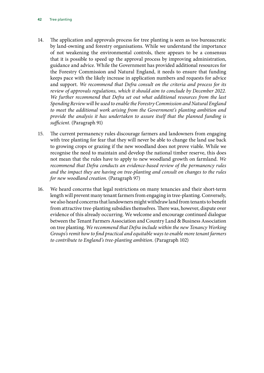- 14. The application and approvals process for tree planting is seen as too bureaucratic by land-owning and forestry organisations. While we understand the importance of not weakening the environmental controls, there appears to be a consensus that it is possible to speed up the approval process by improving administration, guidance and advice. While the Government has provided additional resources for the Forestry Commission and Natural England, it needs to ensure that funding keeps pace with the likely increase in application numbers and requests for advice and support. *We recommend that Defra consult on the criteria and process for its review of approvals regulations, which it should aim to conclude by December 2022. We further recommend that Defra set out what additional resources from the last Spending Review will be used to enable the Forestry Commission and Natural England to meet the additional work arising from the Government's planting ambition and provide the analysis it has undertaken to assure itself that the planned funding is sufficient*. (Paragraph 91)
- 15. The current permanency rules discourage farmers and landowners from engaging with tree planting for fear that they will never be able to change the land use back to growing crops or grazing if the new woodland does not prove viable. While we recognise the need to maintain and develop the national timber reserve, this does not mean that the rules have to apply to new woodland growth on farmland. *We recommend that Defra conducts an evidence-based review of the permanency rules and the impact they are having on tree-planting and consult on changes to the rules for new woodland creation*. (Paragraph 97)
- 16. We heard concerns that legal restrictions on many tenancies and their short-term length will prevent many tenant farmers from engaging in tree-planting. Conversely, we also heard concerns that landowners might withdraw land from tenants to benefit from attractive tree-planting subsidies themselves. There was, however, dispute over evidence of this already occurring. We welcome and encourage continued dialogue between the Tenant Farmers Association and Country Land & Business Association on tree planting. *We recommend that Defra include within the new Tenancy Working Groups's remit how to find practical and equitable ways to enable more tenant farmers to contribute to England's tree-planting ambition*. (Paragraph 102)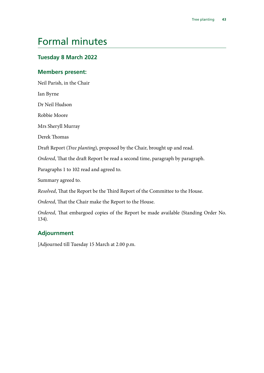## <span id="page-43-0"></span>Formal minutes

## **Tuesday 8 March 2022**

#### **Members present:**

Neil Parish, in the Chair

Ian Byrne

Dr Neil Hudson

Robbie Moore

Mrs Sheryll Murray

Derek Thomas

Draft Report (*Tree planting*), proposed by the Chair, brought up and read.

*Ordered*, That the draft Report be read a second time, paragraph by paragraph.

Paragraphs 1 to 102 read and agreed to.

Summary agreed to.

*Resolved*, That the Report be the Third Report of the Committee to the House.

*Ordered*, That the Chair make the Report to the House.

*Ordered*, That embargoed copies of the Report be made available (Standing Order No. 134).

### **Adjournment**

[Adjourned till Tuesday 15 March at 2.00 p.m.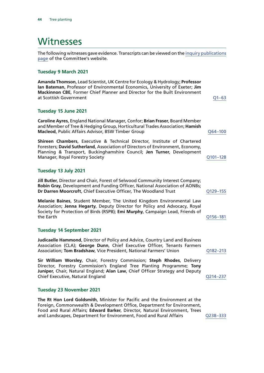## <span id="page-44-0"></span>Witnesses

The following witnesses gave evidence. Transcripts can be viewed on the [inquiry publications](https://committees.parliament.uk/work/595/default/publications/oral-evidence/) [page](https://committees.parliament.uk/work/595/default/publications/oral-evidence/) of the Committee's website.

#### **Tuesday 9 March 2021**

**Amanda Thomson**, Lead Scientist, UK Centre for Ecology & Hydrology; **Professor Ian Bateman**, Professor of Environmental Economics, University of Exeter; **Jim Mackinnon CBE**, Former Chief Planner and Director for the Built Environment at Scottish Government [Q1–63](https://committees.parliament.uk/oralevidence/1851/html/)

#### **Tuesday 15 June 2021**

**Caroline Ayres**, England National Manager, Confor; **Brian Fraser**, Board Member and Member of Tree & Hedging Group, Horticultural Trades Association; **Hamish Macleod, Public Affairs Advisor, BSW Timber Group discussed and Contract Advisors Advisory Advisors** [Q64–100](https://committees.parliament.uk/oralevidence/2365/html/)

**Shireen Chambers**, Executive & Technical Director, Institute of Chartered Foresters; **David Sutherland**, Association of Directors of Environment, Economy, Planning & Transport, Buckinghamshire Council; **Jen Turner**, Development Manager, Royal Forestry Society [Q101–128](https://committees.parliament.uk/oralevidence/2365/html/)

#### **Tuesday 13 July 2021**

**Jill Butler**, Director and Chair, Forest of Selwood Community Interest Company; **Robin Gray**, Development and Funding Officer, National Association of AONBs; **Dr Darren Moorcroft**, Chief Executive Officer, The Woodland Trust Q129-155

**Melanie Baines**, Student Member, The United Kingdom Environmental Law Association; **Jenna Hegarty**, Deputy Director for Policy and Advocacy, Royal Society for Protection of Birds (RSPB); **Emi Murphy**, Campaign Lead, Friends of the Earth [Q156–181](https://committees.parliament.uk/oralevidence/2557/html/)

#### **Tuesday 14 September 2021**

**Judicaelle Hammond**, Director of Policy and Advice, Country Land and Business Association (CLA); **George Dunn**, Chief Executive Officer, Tenants Farmers Association; **Tom Bradshaw**, Vice President, National Farmers' Union [Q182–213](https://committees.parliament.uk/oralevidence/2717/html/)

**Sir William Worsley**, Chair, Forestry Commission; **Steph Rhodes**, Delivery Director, Forestry Commission's England Tree Planting Programme; **Tony Juniper**, Chair, Natural England; **Alan Law**, Chief Officer Strategy and Deputy Chief Executive, Natural England Chief Executive, Natural England

#### **Tuesday 23 November 2021**

**The Rt Hon Lord Goldsmith**, Minister for Pacific and the Environment at the Foreign, Commonwealth & Development Office, Department for Environment, Food and Rural Affairs; **Edward Barker**, Director, Natural Environment, Trees and Landscapes, Department for Environment, Food and Rural Affairs [Q238–333](https://committees.parliament.uk/oralevidence/3074/html/)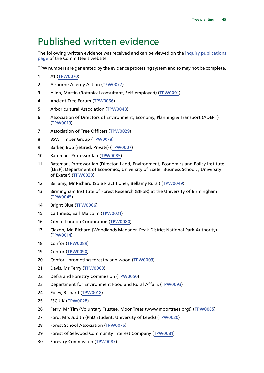# <span id="page-45-0"></span>Published written evidence

The following written evidence was received and can be viewed on the [inquiry publications](https://committees.parliament.uk/work/595/default/publications/written-evidence/) [page](https://committees.parliament.uk/work/595/default/publications/written-evidence/) of the Committee's website.

TPW numbers are generated by the evidence processing system and so may not be complete.

- A1 ([TPW0070\)](https://committees.parliament.uk/writtenevidence/18687/html/)
- Airborne Allergy Action ([TPW0077\)](https://committees.parliament.uk/writtenevidence/18704/html/)
- Allen, Martin (Botanical consultant, Self-employed) ([TPW0001\)](https://committees.parliament.uk/writtenevidence/12714/html/)
- Ancient Tree Forum ([TPW0066](https://committees.parliament.uk/writtenevidence/18680/html/))
- Arboricultural Association ([TPW0048](https://committees.parliament.uk/writtenevidence/18327/html/))
- Association of Directors of Environment, Economy, Planning & Transport (ADEPT) ([TPW0019](https://committees.parliament.uk/writtenevidence/15007/html/))
- Association of Tree Officers ([TPW0029\)](https://committees.parliament.uk/writtenevidence/15594/html/)
- BSW Timber Group [\(TPW0078](https://committees.parliament.uk/writtenevidence/18707/html/))
- Barker, Bob (retired, Private) ([TPW0007\)](https://committees.parliament.uk/writtenevidence/13142/html/)
- Bateman, Professor Ian ([TPW0085](https://committees.parliament.uk/writtenevidence/23613/default/))
- Bateman, Professor Ian (Director, Land, Environment, Economics and Policy Institute (LEEP), Department of Economics, University of Exeter Business School. , University of Exeter) [\(TPW0030\)](https://committees.parliament.uk/writtenevidence/15632/html/)
- Bellamy, Mr Richard (Sole Practitioner, Bellamy Rural) ([TPW0049](https://committees.parliament.uk/writtenevidence/18353/html/))
- Birmingham Institute of Forest Research (BIFoR) at the University of Birmingham ([TPW0045\)](https://committees.parliament.uk/writtenevidence/17647/html/)
- Bright Blue ([TPW0006\)](https://committees.parliament.uk/writtenevidence/12961/html/)
- Caithness, Earl Malcolm ([TPW0021\)](https://committees.parliament.uk/writtenevidence/15205/html/)
- City of London Corporation ([TPW0080\)](https://committees.parliament.uk/writtenevidence/19022/html/)
- Claxon, Mr. Richard (Woodlands Manager, Peak District National Park Authority) ([TPW0014](https://committees.parliament.uk/writtenevidence/14159/html/))
- Confor ([TPW0089\)](https://committees.parliament.uk/writtenevidence/39989/html/)
- Confor ([TPW0090\)](https://committees.parliament.uk/writtenevidence/39997/default/)
- Confor promoting forestry and wood ([TPW0003](https://committees.parliament.uk/writtenevidence/12906/html/))
- Davis, Mr Terry ([TPW0063](https://committees.parliament.uk/writtenevidence/18574/html/))
- Defra and Forestry Commission ([TPW0050](https://committees.parliament.uk/writtenevidence/18397/html/))
- Department for Environment Food and Rural Affairs ([TPW0093](https://committees.parliament.uk/writtenevidence/41426/default/))
- Ebley, Richard ([TPW0018\)](https://committees.parliament.uk/writtenevidence/14922/html/)
- FSC UK ([TPW0028\)](https://committees.parliament.uk/writtenevidence/15592/html/)
- Ferry, Mr Tim (Voluntary Trustee, Moor Trees (www.moortrees.org)) ([TPW0005](https://committees.parliament.uk/writtenevidence/12947/html/))
- Ford, Mrs Judith (PhD Student, University of Leeds) ([TPW0020](https://committees.parliament.uk/writtenevidence/15140/html/))
- Forest School Association [\(TPW0076](https://committees.parliament.uk/writtenevidence/18701/html/))
- Forest of Selwood Community Interest Company ([TPW0081\)](https://committees.parliament.uk/writtenevidence/19032/html/)
- Forestry Commission ([TPW0087](https://committees.parliament.uk/writtenevidence/39496/html/))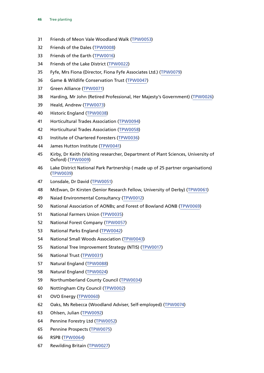- Friends of Meon Vale Woodland Walk [\(TPW0053](https://committees.parliament.uk/writtenevidence/18400/html/))
- Friends of the Dales [\(TPW0008](https://committees.parliament.uk/writtenevidence/13193/html/))
- Friends of the Earth ([TPW0016](https://committees.parliament.uk/writtenevidence/14885/html/))
- Friends of the Lake District ([TPW0022](https://committees.parliament.uk/writtenevidence/15268/html/))
- Fyfe, Mrs Fiona (Director, Fiona Fyfe Associates Ltd.) ([TPW0079\)](https://committees.parliament.uk/writtenevidence/18709/html/)
- Game & Wildlife Conservation Trust ([TPW0047](https://committees.parliament.uk/writtenevidence/18324/html/))
- Green Alliance ([TPW0071](https://committees.parliament.uk/writtenevidence/18690/html/))
- Harding, Mr John (Retired Professional, Her Majesty's Government) ([TPW0026\)](https://committees.parliament.uk/writtenevidence/15491/html/)
- Heald, Andrew ([TPW0073](https://committees.parliament.uk/writtenevidence/18694/html/))
- Historic England ([TPW0038](https://committees.parliament.uk/writtenevidence/16107/html/))
- Horticultural Trades Association ([TPW0094](https://committees.parliament.uk/writtenevidence/43235/html/))
- Horticultural Trades Association ([TPW0058\)](https://committees.parliament.uk/writtenevidence/18520/html/)
- Institute of Chartered Foresters ([TPW0036](https://committees.parliament.uk/writtenevidence/16089/html/))
- James Hutton Institute [\(TPW0041\)](https://committees.parliament.uk/writtenevidence/16125/html/)
- Kirby, Dr Keith (Visiting researcher, Department of Plant Sciences, University of Oxford) [\(TPW0009\)](https://committees.parliament.uk/writtenevidence/13232/html/)
- Lake District National Park Partnership ( made up of 25 partner organisations) ([TPW0039](https://committees.parliament.uk/writtenevidence/16112/html/))
- Lonsdale, Dr David [\(TPW0051\)](https://committees.parliament.uk/writtenevidence/18398/html/)
- McEwan, Dr Kirsten (Senior Research Fellow, University of Derby) ([TPW0061](https://committees.parliament.uk/writtenevidence/18566/html/))
- Naiad Environmental Consultancy ([TPW0012](https://committees.parliament.uk/writtenevidence/13993/html/))
- National Association of AONBs; and Forest of Bowland AONB ([TPW0069\)](https://committees.parliament.uk/writtenevidence/18686/html/)
- National Farmers Union ([TPW0035\)](https://committees.parliament.uk/writtenevidence/16081/html/)
- National Forest Company ([TPW0057\)](https://committees.parliament.uk/writtenevidence/18483/html/)
- National Parks England [\(TPW0042\)](https://committees.parliament.uk/writtenevidence/16181/html/)
- National Small Woods Association ([TPW0043](https://committees.parliament.uk/writtenevidence/16426/html/))
- National Tree Improvement Strategy (NTIS) [\(TPW0017\)](https://committees.parliament.uk/writtenevidence/14891/html/)
- National Trust ([TPW0031](https://committees.parliament.uk/writtenevidence/15666/html/))
- Natural England ([TPW0088\)](https://committees.parliament.uk/writtenevidence/39777/html/)
- Natural England ([TPW0024\)](https://committees.parliament.uk/writtenevidence/15475/html/)
- Northumberland County Council ([TPW0034\)](https://committees.parliament.uk/writtenevidence/16062/html/)
- Nottingham City Council ([TPW0002](https://committees.parliament.uk/writtenevidence/12807/html/))
- OVO Energy ([TPW0060](https://committees.parliament.uk/writtenevidence/18545/html/))
- Oaks, Ms Rebecca (Woodland Adviser, Self-employed) ([TPW0074](https://committees.parliament.uk/writtenevidence/18699/html/))
- Ohlsen, Julian ([TPW0092](https://committees.parliament.uk/writtenevidence/41425/default/))
- Pennine Forestry Ltd ([TPW0052](https://committees.parliament.uk/writtenevidence/18399/html/))
- Pennine Prospects ([TPW0075\)](https://committees.parliament.uk/writtenevidence/18700/html/)
- RSPB ([TPW0064\)](https://committees.parliament.uk/writtenevidence/18581/html/)
- Rewilding Britain [\(TPW0027](https://committees.parliament.uk/writtenevidence/15591/html/))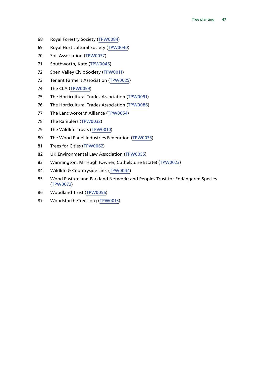- Royal Forestry Society ([TPW0084\)](https://committees.parliament.uk/writtenevidence/23607/default/)
- Royal Horticultural Society ([TPW0040\)](https://committees.parliament.uk/writtenevidence/16122/html/)
- 70 Soil Association ([TPW0037\)](https://committees.parliament.uk/writtenevidence/16098/html/)
- Southworth, Kate ([TPW0046\)](https://committees.parliament.uk/writtenevidence/17857/html/)
- Spen Valley Civic Society ([TPW0011](https://committees.parliament.uk/writtenevidence/13981/html/))
- Tenant Farmers Association ([TPW0025\)](https://committees.parliament.uk/writtenevidence/15485/html/)
- The CLA ([TPW0059\)](https://committees.parliament.uk/writtenevidence/18544/html/)
- The Horticultural Trades Association ([TPW0091](https://committees.parliament.uk/writtenevidence/41256/html/))
- The Horticultural Trades Association ([TPW0086](https://committees.parliament.uk/writtenevidence/37246/default/))
- The Landworkers' Alliance ([TPW0054\)](https://committees.parliament.uk/writtenevidence/18446/html/)
- The Ramblers ([TPW0032](https://committees.parliament.uk/writtenevidence/15709/html/))
- The Wildlife Trusts ([TPW0010](https://committees.parliament.uk/writtenevidence/13808/html/))
- The Wood Panel Industries Federation ([TPW0033\)](https://committees.parliament.uk/writtenevidence/15746/html/)
- Trees for Cities [\(TPW0062\)](https://committees.parliament.uk/writtenevidence/18573/html/)
- UK Environmental Law Association ([TPW0055](https://committees.parliament.uk/writtenevidence/18458/html/))
- Warmington, Mr Hugh (Owner, Cothelstone Estate) ([TPW0023](https://committees.parliament.uk/writtenevidence/15282/html/))
- Wildlife & Countryside Link ([TPW0044](https://committees.parliament.uk/writtenevidence/16505/html/))
- Wood Pasture and Parkland Network; and Peoples Trust for Endangered Species ([TPW0072\)](https://committees.parliament.uk/writtenevidence/18691/html/)
- Woodland Trust ([TPW0056](https://committees.parliament.uk/writtenevidence/18470/html/))
- WoodsfortheTrees.org ([TPW0013](https://committees.parliament.uk/writtenevidence/14112/html/))